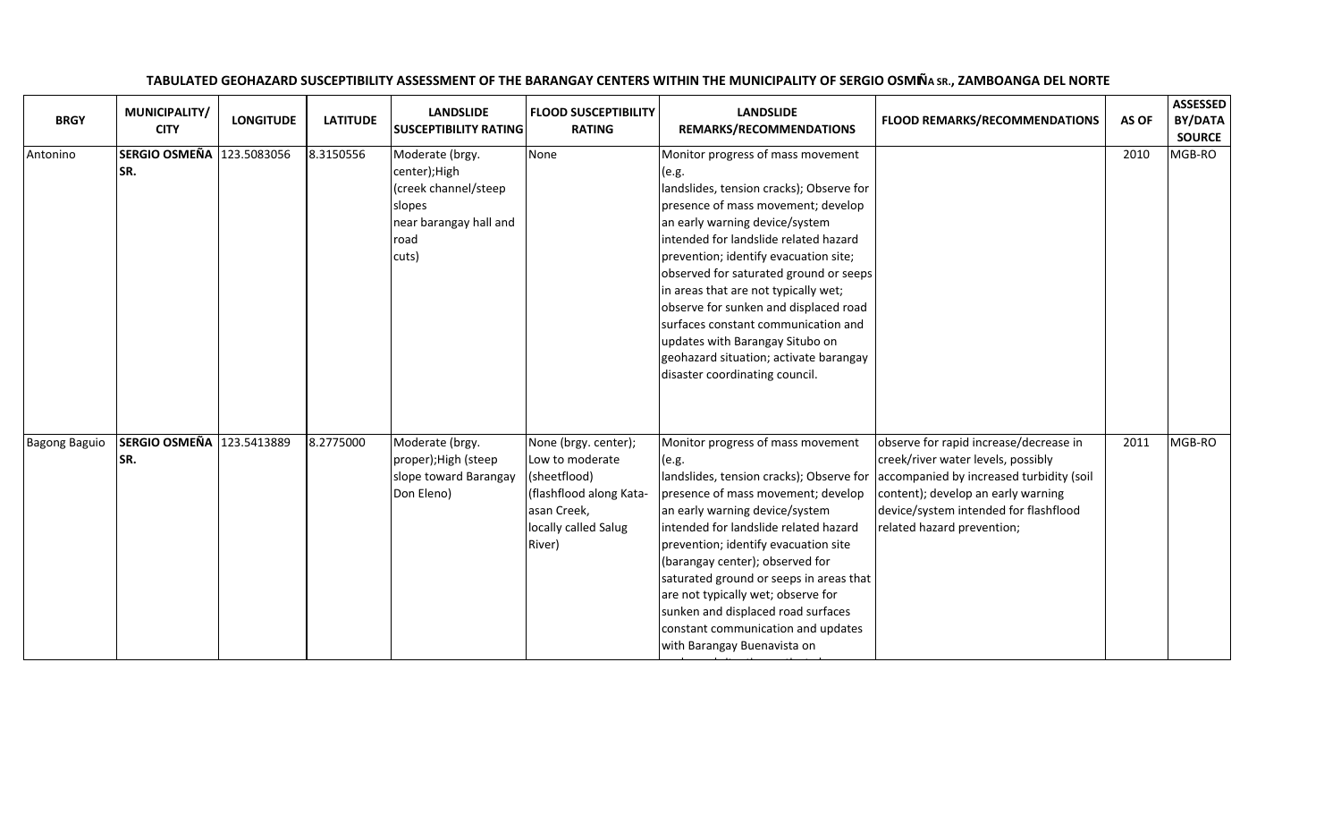| <b>BRGY</b>          | MUNICIPALITY/<br><b>CITY</b> | <b>LONGITUDE</b> | <b>LATITUDE</b> | <b>LANDSLIDE</b><br><b>SUSCEPTIBILITY RATING</b>                                                              | <b>FLOOD SUSCEPTIBILITY</b><br><b>RATING</b>                                                                                        | <b>LANDSLIDE</b><br>REMARKS/RECOMMENDATIONS                                                                                                                                                                                                                                                                                                                                                                                                                                                                                       | FLOOD REMARKS/RECOMMENDATIONS                                                                                                                                                                                                         | AS OF | <b>ASSESSED</b><br>BY/DATA<br><b>SOURCE</b> |
|----------------------|------------------------------|------------------|-----------------|---------------------------------------------------------------------------------------------------------------|-------------------------------------------------------------------------------------------------------------------------------------|-----------------------------------------------------------------------------------------------------------------------------------------------------------------------------------------------------------------------------------------------------------------------------------------------------------------------------------------------------------------------------------------------------------------------------------------------------------------------------------------------------------------------------------|---------------------------------------------------------------------------------------------------------------------------------------------------------------------------------------------------------------------------------------|-------|---------------------------------------------|
| Antonino             | <b>SERGIO OSMEÑA</b><br>SR.  | 123.5083056      | 8.3150556       | Moderate (brgy.<br>center); High<br>(creek channel/steep<br>slopes<br>near barangay hall and<br>road<br>cuts) | None                                                                                                                                | Monitor progress of mass movement<br>(e.g.<br>landslides, tension cracks); Observe for<br>presence of mass movement; develop<br>an early warning device/system<br>intended for landslide related hazard<br>prevention; identify evacuation site;<br>observed for saturated ground or seeps<br>in areas that are not typically wet;<br>observe for sunken and displaced road<br>surfaces constant communication and<br>updates with Barangay Situbo on<br>geohazard situation; activate barangay<br>disaster coordinating council. |                                                                                                                                                                                                                                       | 2010  | MGB-RO                                      |
| <b>Bagong Baguio</b> | <b>SERGIO OSMEÑA</b><br>SR.  | 123.5413889      | 8.2775000       | Moderate (brgy.<br>proper); High (steep<br>slope toward Barangay<br>Don Eleno)                                | None (brgy. center);<br>Low to moderate<br>(sheetflood)<br>(flashflood along Kata-<br>asan Creek,<br>locally called Salug<br>River) | Monitor progress of mass movement<br>(e.g.<br>landslides, tension cracks); Observe for<br>presence of mass movement; develop<br>an early warning device/system<br>intended for landslide related hazard<br>prevention; identify evacuation site<br>(barangay center); observed for<br>saturated ground or seeps in areas that<br>are not typically wet; observe for<br>sunken and displaced road surfaces<br>constant communication and updates<br>with Barangay Buenavista on                                                    | observe for rapid increase/decrease in<br>creek/river water levels, possibly<br>accompanied by increased turbidity (soil<br>content); develop an early warning<br>device/system intended for flashflood<br>related hazard prevention; | 2011  | MGB-RO                                      |

geologication; activate barangay activate barangay activate barangay activate barangay activate barangay activ<br>Situation; activate barangay activate barangay activate barangay activate barangay activate barangay activate

## TABULATED GEOHAZARD SUSCEPTIBILITY ASSESSMENT OF THE BARANGAY CENTERS WITHIN THE MUNICIPALITY OF SERGIO OSMIÑA SR., ZAMBOANGA DEL NORTE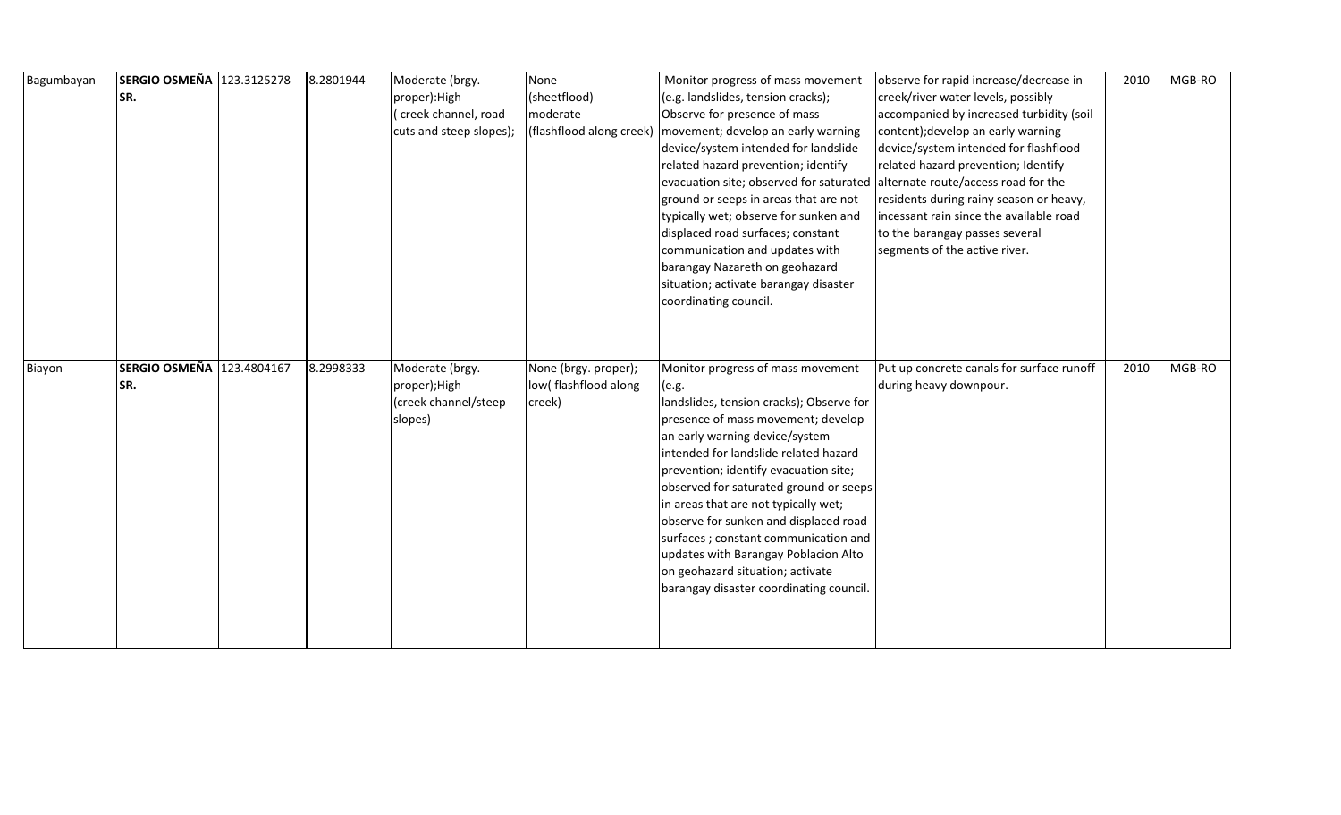| Bagumbayan | SERGIO OSMEÑA 123.3125278 | 8.2801944 | Moderate (brgy.         | None                 | Monitor progress of mass movement                                             | observe for rapid increase/decrease in    | 2010 | MGB-RO |
|------------|---------------------------|-----------|-------------------------|----------------------|-------------------------------------------------------------------------------|-------------------------------------------|------|--------|
|            | SR.                       |           | proper): High           | (sheetflood)         | (e.g. landslides, tension cracks);                                            | creek/river water levels, possibly        |      |        |
|            |                           |           | (creek channel, road    | moderate             | Observe for presence of mass                                                  | accompanied by increased turbidity (soil  |      |        |
|            |                           |           | cuts and steep slopes); |                      | (flashflood along creek)   movement; develop an early warning                 | content); develop an early warning        |      |        |
|            |                           |           |                         |                      | device/system intended for landslide                                          | device/system intended for flashflood     |      |        |
|            |                           |           |                         |                      | related hazard prevention; identify                                           | related hazard prevention; Identify       |      |        |
|            |                           |           |                         |                      | evacuation site; observed for saturated                                       | alternate route/access road for the       |      |        |
|            |                           |           |                         |                      | ground or seeps in areas that are not                                         | residents during rainy season or heavy,   |      |        |
|            |                           |           |                         |                      | typically wet; observe for sunken and                                         | incessant rain since the available road   |      |        |
|            |                           |           |                         |                      | displaced road surfaces; constant                                             | to the barangay passes several            |      |        |
|            |                           |           |                         |                      | communication and updates with                                                | segments of the active river.             |      |        |
|            |                           |           |                         |                      | barangay Nazareth on geohazard                                                |                                           |      |        |
|            |                           |           |                         |                      | situation; activate barangay disaster                                         |                                           |      |        |
|            |                           |           |                         |                      | coordinating council.                                                         |                                           |      |        |
|            |                           |           |                         |                      |                                                                               |                                           |      |        |
|            |                           |           |                         |                      |                                                                               |                                           |      |        |
|            |                           |           |                         |                      |                                                                               |                                           |      |        |
|            |                           |           |                         |                      |                                                                               |                                           |      |        |
| Biayon     | SERGIO OSMEÑA 123.4804167 | 8.2998333 | Moderate (brgy.         | None (brgy. proper); | Monitor progress of mass movement                                             | Put up concrete canals for surface runoff | 2010 | MGB-RO |
|            | SR.                       |           | proper);High            | low(flashflood along | (e.g.                                                                         | during heavy downpour.                    |      |        |
|            |                           |           | (creek channel/steep    | creek)               | landslides, tension cracks); Observe for                                      |                                           |      |        |
|            |                           |           | slopes)                 |                      | presence of mass movement; develop                                            |                                           |      |        |
|            |                           |           |                         |                      | an early warning device/system                                                |                                           |      |        |
|            |                           |           |                         |                      | intended for landslide related hazard                                         |                                           |      |        |
|            |                           |           |                         |                      | prevention; identify evacuation site;                                         |                                           |      |        |
|            |                           |           |                         |                      | observed for saturated ground or seeps                                        |                                           |      |        |
|            |                           |           |                         |                      | in areas that are not typically wet;<br>observe for sunken and displaced road |                                           |      |        |
|            |                           |           |                         |                      | surfaces ; constant communication and                                         |                                           |      |        |
|            |                           |           |                         |                      | updates with Barangay Poblacion Alto                                          |                                           |      |        |
|            |                           |           |                         |                      | on geohazard situation; activate                                              |                                           |      |        |
|            |                           |           |                         |                      | barangay disaster coordinating council.                                       |                                           |      |        |
|            |                           |           |                         |                      |                                                                               |                                           |      |        |
|            |                           |           |                         |                      |                                                                               |                                           |      |        |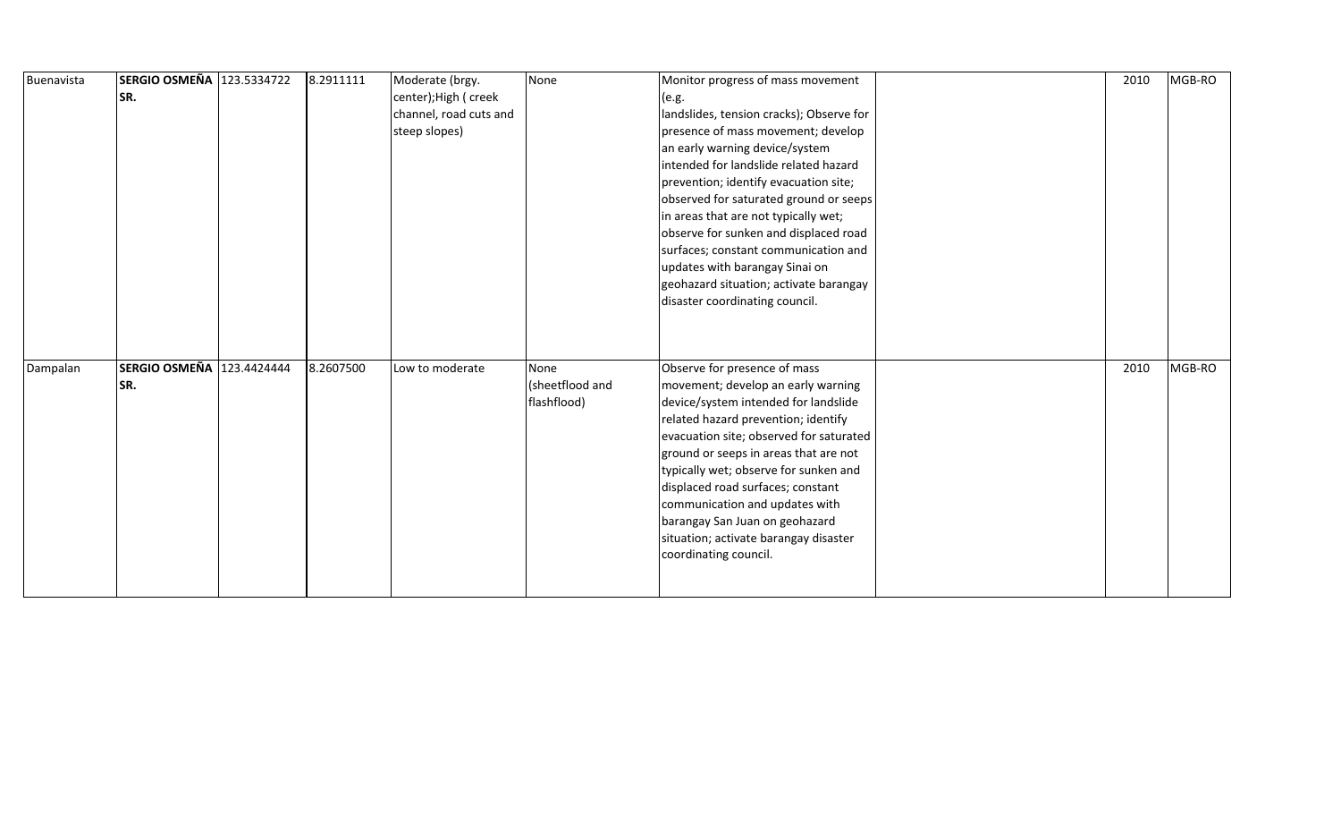| Buenavista | SERGIO OSMEÑA 123.5334722 | 8.2911111 | Moderate (brgy.        | None            | Monitor progress of mass movement        | 2010 | MGB-RO |
|------------|---------------------------|-----------|------------------------|-----------------|------------------------------------------|------|--------|
|            | SR.                       |           | center); High ( creek  |                 | (e.g.                                    |      |        |
|            |                           |           | channel, road cuts and |                 | landslides, tension cracks); Observe for |      |        |
|            |                           |           | steep slopes)          |                 | presence of mass movement; develop       |      |        |
|            |                           |           |                        |                 | an early warning device/system           |      |        |
|            |                           |           |                        |                 | intended for landslide related hazard    |      |        |
|            |                           |           |                        |                 | prevention; identify evacuation site;    |      |        |
|            |                           |           |                        |                 | observed for saturated ground or seeps   |      |        |
|            |                           |           |                        |                 | in areas that are not typically wet;     |      |        |
|            |                           |           |                        |                 | observe for sunken and displaced road    |      |        |
|            |                           |           |                        |                 | surfaces; constant communication and     |      |        |
|            |                           |           |                        |                 | updates with barangay Sinai on           |      |        |
|            |                           |           |                        |                 | geohazard situation; activate barangay   |      |        |
|            |                           |           |                        |                 | disaster coordinating council.           |      |        |
|            |                           |           |                        |                 |                                          |      |        |
|            |                           |           |                        |                 |                                          |      |        |
|            |                           |           |                        |                 |                                          |      |        |
| Dampalan   | SERGIO OSMEÑA 123.4424444 | 8.2607500 | Low to moderate        | None            | Observe for presence of mass             | 2010 | MGB-RO |
|            | SR.                       |           |                        | (sheetflood and | movement; develop an early warning       |      |        |
|            |                           |           |                        | flashflood)     | device/system intended for landslide     |      |        |
|            |                           |           |                        |                 | related hazard prevention; identify      |      |        |
|            |                           |           |                        |                 | evacuation site; observed for saturated  |      |        |
|            |                           |           |                        |                 | ground or seeps in areas that are not    |      |        |
|            |                           |           |                        |                 | typically wet; observe for sunken and    |      |        |
|            |                           |           |                        |                 | displaced road surfaces; constant        |      |        |
|            |                           |           |                        |                 | communication and updates with           |      |        |
|            |                           |           |                        |                 | barangay San Juan on geohazard           |      |        |
|            |                           |           |                        |                 | situation; activate barangay disaster    |      |        |
|            |                           |           |                        |                 | coordinating council.                    |      |        |
|            |                           |           |                        |                 |                                          |      |        |
|            |                           |           |                        |                 |                                          |      |        |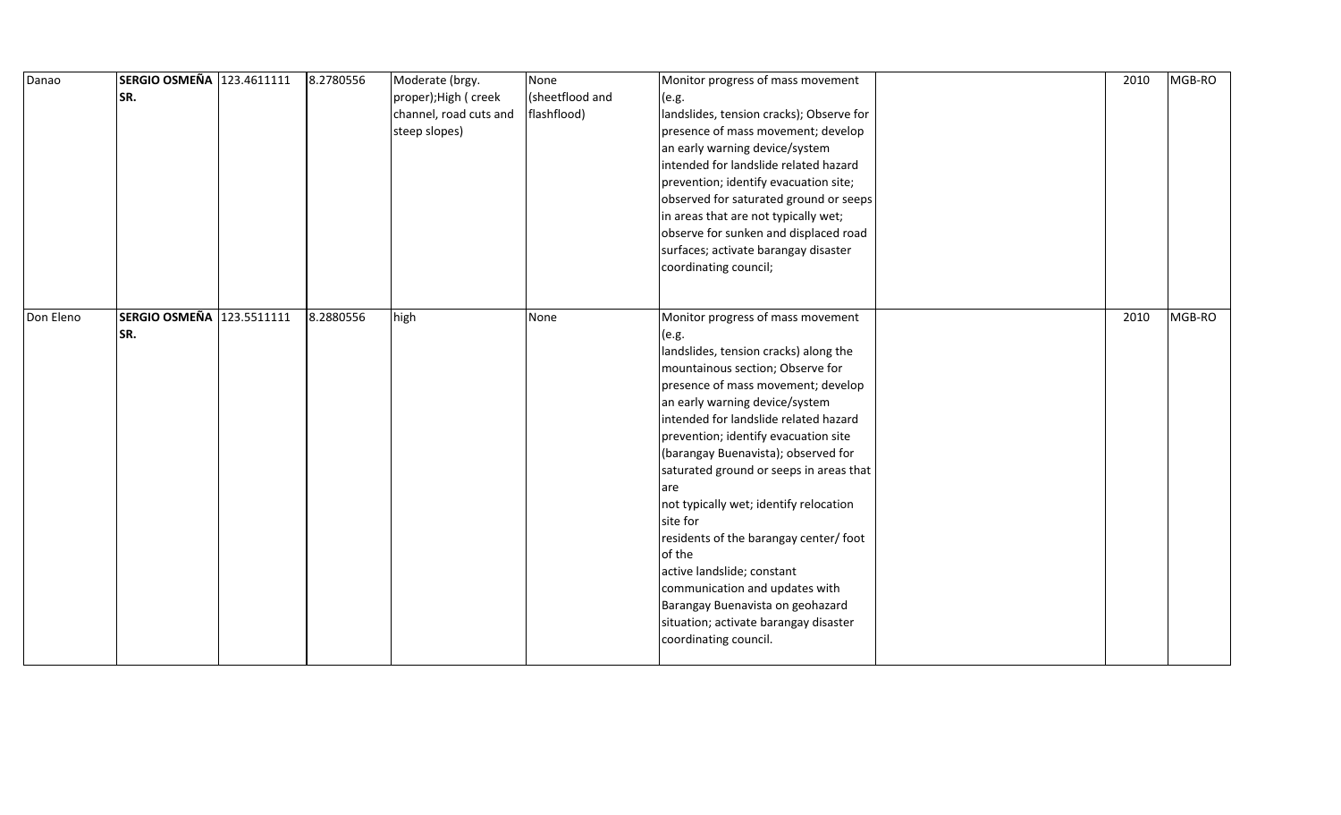| Danao     | SERGIO OSMEÑA 123.4611111<br>SR. | 8.2780556 | Moderate (brgy.<br>proper);High ( creek<br>channel, road cuts and<br>steep slopes) | None<br>(sheetflood and<br>flashflood) | Monitor progress of mass movement<br>(e.g.<br>landslides, tension cracks); Observe for<br>presence of mass movement; develop<br>an early warning device/system<br>intended for landslide related hazard<br>prevention; identify evacuation site;<br>observed for saturated ground or seeps<br>in areas that are not typically wet;<br>observe for sunken and displaced road<br>surfaces; activate barangay disaster<br>coordinating council;                                                                                                                                                                                                              | 2010 | MGB-RO |
|-----------|----------------------------------|-----------|------------------------------------------------------------------------------------|----------------------------------------|-----------------------------------------------------------------------------------------------------------------------------------------------------------------------------------------------------------------------------------------------------------------------------------------------------------------------------------------------------------------------------------------------------------------------------------------------------------------------------------------------------------------------------------------------------------------------------------------------------------------------------------------------------------|------|--------|
| Don Eleno | SERGIO OSMEÑA 123.5511111<br>SR. | 8.2880556 | high                                                                               | None                                   | Monitor progress of mass movement<br>(e.g.<br>landslides, tension cracks) along the<br>mountainous section; Observe for<br>presence of mass movement; develop<br>an early warning device/system<br>intended for landslide related hazard<br>prevention; identify evacuation site<br>(barangay Buenavista); observed for<br>saturated ground or seeps in areas that<br>are<br>not typically wet; identify relocation<br>site for<br>residents of the barangay center/ foot<br>of the<br>active landslide; constant<br>communication and updates with<br>Barangay Buenavista on geohazard<br>situation; activate barangay disaster<br>coordinating council. | 2010 | MGB-RO |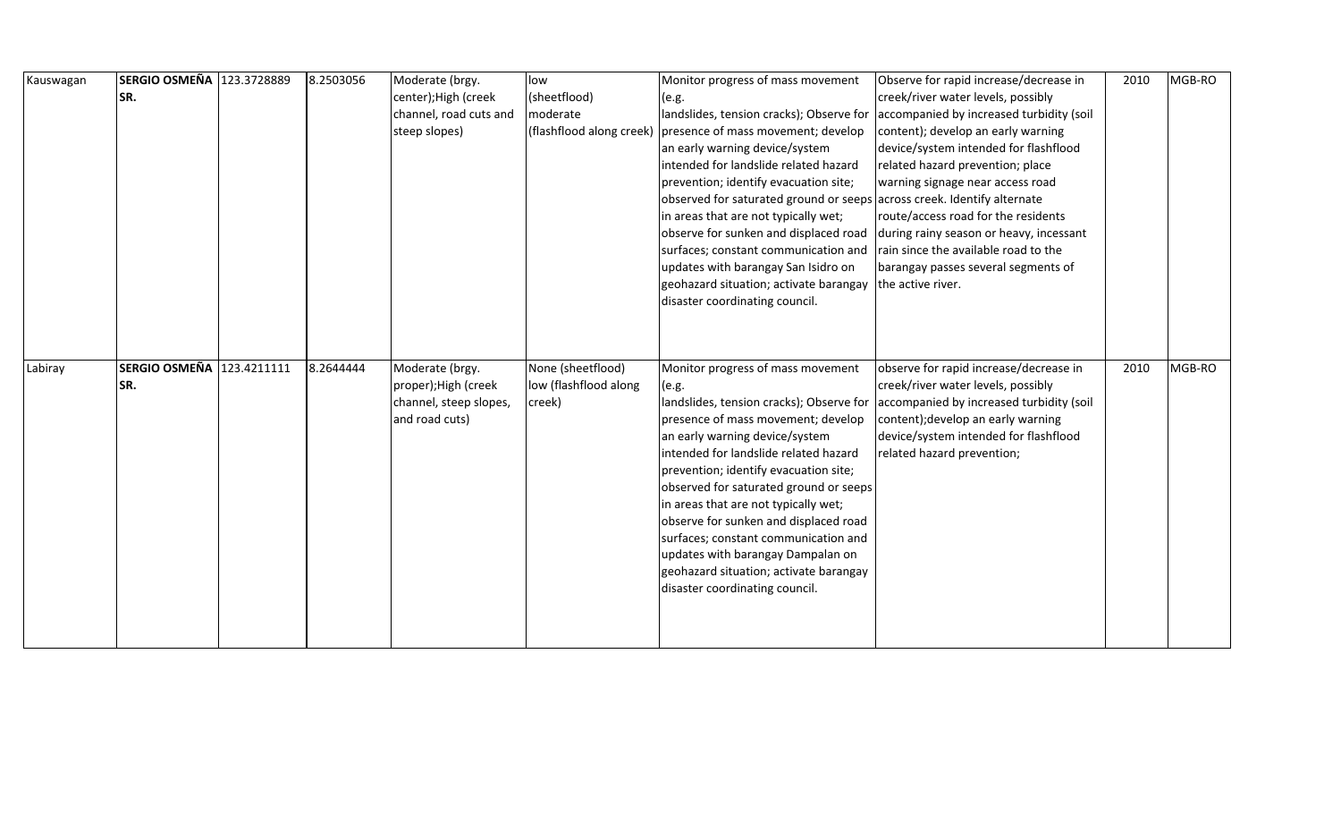| Kauswagan | SERGIO OSMEÑA 123.3728889 | 8.2503056 | Moderate (brgy.        | low                   | Monitor progress of mass movement                                       | Observe for rapid increase/decrease in   | 2010 | MGB-RO |  |
|-----------|---------------------------|-----------|------------------------|-----------------------|-------------------------------------------------------------------------|------------------------------------------|------|--------|--|
|           | SR.                       |           | center); High (creek   | (sheetflood)          | (e.g.                                                                   | creek/river water levels, possibly       |      |        |  |
|           |                           |           | channel, road cuts and | moderate              | landslides, tension cracks); Observe for                                | accompanied by increased turbidity (soil |      |        |  |
|           |                           |           | steep slopes)          |                       | (flashflood along creek) presence of mass movement; develop             | content); develop an early warning       |      |        |  |
|           |                           |           |                        |                       | an early warning device/system                                          | device/system intended for flashflood    |      |        |  |
|           |                           |           |                        |                       | intended for landslide related hazard                                   | related hazard prevention; place         |      |        |  |
|           |                           |           |                        |                       | prevention; identify evacuation site;                                   | warning signage near access road         |      |        |  |
|           |                           |           |                        |                       | observed for saturated ground or seeps across creek. Identify alternate |                                          |      |        |  |
|           |                           |           |                        |                       | in areas that are not typically wet;                                    | route/access road for the residents      |      |        |  |
|           |                           |           |                        |                       | observe for sunken and displaced road                                   | during rainy season or heavy, incessant  |      |        |  |
|           |                           |           |                        |                       | surfaces; constant communication and                                    | rain since the available road to the     |      |        |  |
|           |                           |           |                        |                       | updates with barangay San Isidro on                                     | barangay passes several segments of      |      |        |  |
|           |                           |           |                        |                       | geohazard situation; activate barangay                                  | the active river.                        |      |        |  |
|           |                           |           |                        |                       | disaster coordinating council.                                          |                                          |      |        |  |
|           |                           |           |                        |                       |                                                                         |                                          |      |        |  |
|           |                           |           |                        |                       |                                                                         |                                          |      |        |  |
|           |                           |           |                        |                       |                                                                         |                                          |      |        |  |
| Labiray   | SERGIO OSMEÑA 123.4211111 | 8.2644444 | Moderate (brgy.        | None (sheetflood)     | Monitor progress of mass movement                                       | observe for rapid increase/decrease in   | 2010 | MGB-RO |  |
|           | SR.                       |           | proper);High (creek    | low (flashflood along | (e.g.                                                                   | creek/river water levels, possibly       |      |        |  |
|           |                           |           | channel, steep slopes, | creek)                | landslides, tension cracks); Observe for                                | accompanied by increased turbidity (soil |      |        |  |
|           |                           |           | and road cuts)         |                       | presence of mass movement; develop                                      | content); develop an early warning       |      |        |  |
|           |                           |           |                        |                       | an early warning device/system                                          | device/system intended for flashflood    |      |        |  |
|           |                           |           |                        |                       | intended for landslide related hazard                                   | related hazard prevention;               |      |        |  |
|           |                           |           |                        |                       | prevention; identify evacuation site;                                   |                                          |      |        |  |
|           |                           |           |                        |                       | observed for saturated ground or seeps                                  |                                          |      |        |  |
|           |                           |           |                        |                       | in areas that are not typically wet;                                    |                                          |      |        |  |
|           |                           |           |                        |                       | observe for sunken and displaced road                                   |                                          |      |        |  |
|           |                           |           |                        |                       | surfaces; constant communication and                                    |                                          |      |        |  |
|           |                           |           |                        |                       | updates with barangay Dampalan on                                       |                                          |      |        |  |
|           |                           |           |                        |                       | geohazard situation; activate barangay                                  |                                          |      |        |  |
|           |                           |           |                        |                       | disaster coordinating council.                                          |                                          |      |        |  |
|           |                           |           |                        |                       |                                                                         |                                          |      |        |  |
|           |                           |           |                        |                       |                                                                         |                                          |      |        |  |
|           |                           |           |                        |                       |                                                                         |                                          |      |        |  |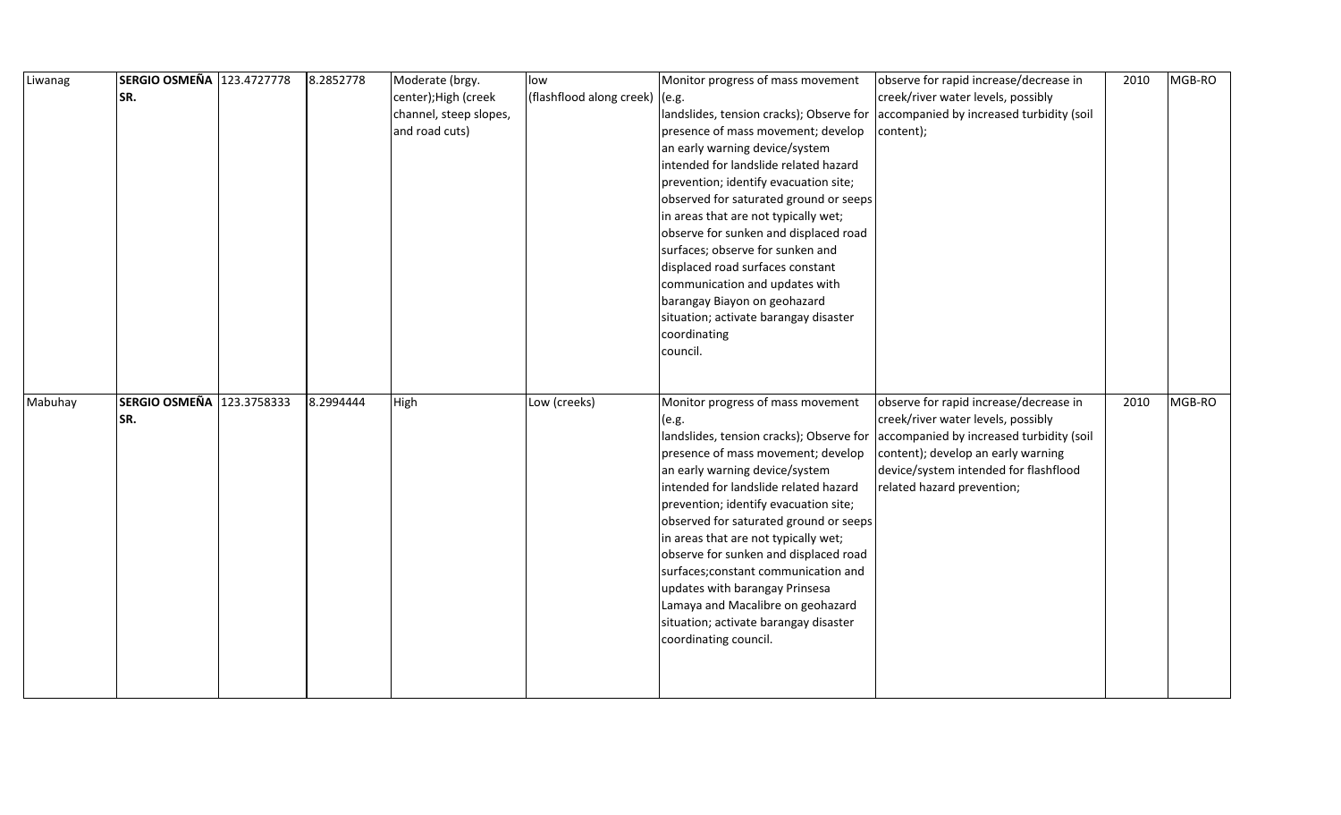| Liwanag | SERGIO OSMEÑA 123.4727778        | 8.2852778 | Moderate (brgy.        | low                            | Monitor progress of mass movement                 | observe for rapid increase/decrease in                                       | 2010 | MGB-RO |
|---------|----------------------------------|-----------|------------------------|--------------------------------|---------------------------------------------------|------------------------------------------------------------------------------|------|--------|
|         | SR.                              |           | center); High (creek   | (flashflood along creek) (e.g. |                                                   | creek/river water levels, possibly                                           |      |        |
|         |                                  |           | channel, steep slopes, |                                | landslides, tension cracks); Observe for          | accompanied by increased turbidity (soil                                     |      |        |
|         |                                  |           | and road cuts)         |                                | presence of mass movement; develop                | content);                                                                    |      |        |
|         |                                  |           |                        |                                | an early warning device/system                    |                                                                              |      |        |
|         |                                  |           |                        |                                | intended for landslide related hazard             |                                                                              |      |        |
|         |                                  |           |                        |                                | prevention; identify evacuation site;             |                                                                              |      |        |
|         |                                  |           |                        |                                | observed for saturated ground or seeps            |                                                                              |      |        |
|         |                                  |           |                        |                                | in areas that are not typically wet;              |                                                                              |      |        |
|         |                                  |           |                        |                                | observe for sunken and displaced road             |                                                                              |      |        |
|         |                                  |           |                        |                                | surfaces; observe for sunken and                  |                                                                              |      |        |
|         |                                  |           |                        |                                | displaced road surfaces constant                  |                                                                              |      |        |
|         |                                  |           |                        |                                | communication and updates with                    |                                                                              |      |        |
|         |                                  |           |                        |                                | barangay Biayon on geohazard                      |                                                                              |      |        |
|         |                                  |           |                        |                                | situation; activate barangay disaster             |                                                                              |      |        |
|         |                                  |           |                        |                                | coordinating                                      |                                                                              |      |        |
|         |                                  |           |                        |                                | council.                                          |                                                                              |      |        |
|         |                                  |           |                        |                                |                                                   |                                                                              |      |        |
|         |                                  |           |                        |                                |                                                   |                                                                              |      |        |
| Mabuhay | SERGIO OSMEÑA 123.3758333<br>SR. | 8.2994444 | High                   | Low (creeks)                   | Monitor progress of mass movement                 | observe for rapid increase/decrease in<br>creek/river water levels, possibly | 2010 | MGB-RO |
|         |                                  |           |                        |                                | (e.g.<br>landslides, tension cracks); Observe for | accompanied by increased turbidity (soil                                     |      |        |
|         |                                  |           |                        |                                | presence of mass movement; develop                | content); develop an early warning                                           |      |        |
|         |                                  |           |                        |                                | an early warning device/system                    | device/system intended for flashflood                                        |      |        |
|         |                                  |           |                        |                                | intended for landslide related hazard             | related hazard prevention;                                                   |      |        |
|         |                                  |           |                        |                                | prevention; identify evacuation site;             |                                                                              |      |        |
|         |                                  |           |                        |                                | observed for saturated ground or seeps            |                                                                              |      |        |
|         |                                  |           |                        |                                | in areas that are not typically wet;              |                                                                              |      |        |
|         |                                  |           |                        |                                | observe for sunken and displaced road             |                                                                              |      |        |
|         |                                  |           |                        |                                | surfaces; constant communication and              |                                                                              |      |        |
|         |                                  |           |                        |                                | updates with barangay Prinsesa                    |                                                                              |      |        |
|         |                                  |           |                        |                                | Lamaya and Macalibre on geohazard                 |                                                                              |      |        |
|         |                                  |           |                        |                                | situation; activate barangay disaster             |                                                                              |      |        |
|         |                                  |           |                        |                                | coordinating council.                             |                                                                              |      |        |
|         |                                  |           |                        |                                |                                                   |                                                                              |      |        |
|         |                                  |           |                        |                                |                                                   |                                                                              |      |        |
|         |                                  |           |                        |                                |                                                   |                                                                              |      |        |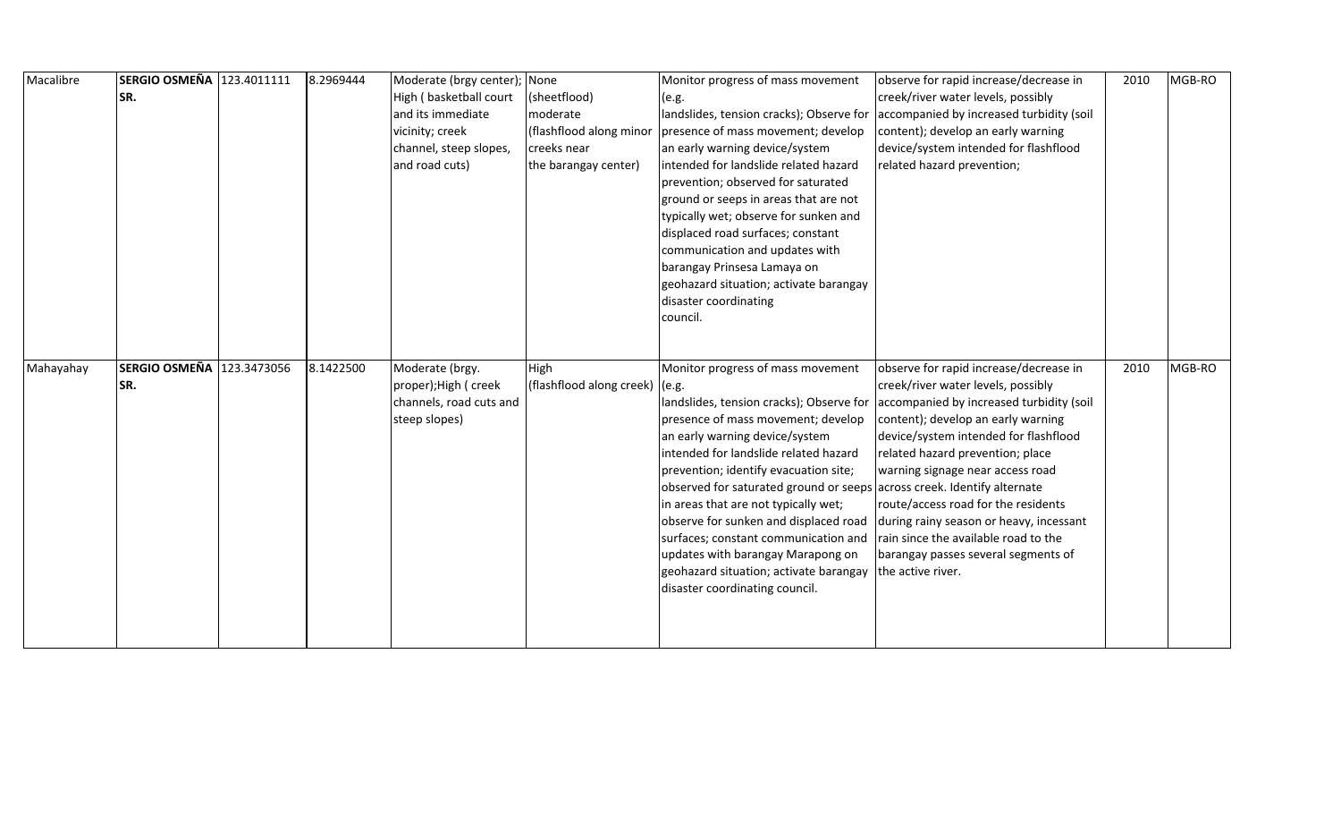| Macalibre | SERGIO OSMEÑA 123.4011111 | 8.2969444 | Moderate (brgy center); None |                                | Monitor progress of mass movement                                       | observe for rapid increase/decrease in   | 2010 | MGB-RO |
|-----------|---------------------------|-----------|------------------------------|--------------------------------|-------------------------------------------------------------------------|------------------------------------------|------|--------|
|           | SR.                       |           | High (basketball court       | (sheetflood)                   | (e.g.                                                                   | creek/river water levels, possibly       |      |        |
|           |                           |           | and its immediate            | moderate                       | landslides, tension cracks); Observe for                                | accompanied by increased turbidity (soil |      |        |
|           |                           |           | vicinity; creek              |                                | (flashflood along minor   presence of mass movement; develop            | content); develop an early warning       |      |        |
|           |                           |           | channel, steep slopes,       | creeks near                    | an early warning device/system                                          | device/system intended for flashflood    |      |        |
|           |                           |           | and road cuts)               | the barangay center)           | intended for landslide related hazard                                   | related hazard prevention;               |      |        |
|           |                           |           |                              |                                | prevention; observed for saturated                                      |                                          |      |        |
|           |                           |           |                              |                                | ground or seeps in areas that are not                                   |                                          |      |        |
|           |                           |           |                              |                                | typically wet; observe for sunken and                                   |                                          |      |        |
|           |                           |           |                              |                                | displaced road surfaces; constant                                       |                                          |      |        |
|           |                           |           |                              |                                | communication and updates with                                          |                                          |      |        |
|           |                           |           |                              |                                | barangay Prinsesa Lamaya on                                             |                                          |      |        |
|           |                           |           |                              |                                | geohazard situation; activate barangay                                  |                                          |      |        |
|           |                           |           |                              |                                | disaster coordinating                                                   |                                          |      |        |
|           |                           |           |                              |                                | council.                                                                |                                          |      |        |
|           |                           |           |                              |                                |                                                                         |                                          |      |        |
|           |                           |           |                              |                                |                                                                         |                                          |      |        |
| Mahayahay | SERGIO OSMEÑA 123.3473056 | 8.1422500 | Moderate (brgy.              | High                           | Monitor progress of mass movement                                       | observe for rapid increase/decrease in   | 2010 | MGB-RO |
|           | SR.                       |           | proper); High ( creek        | (flashflood along creek) (e.g. |                                                                         | creek/river water levels, possibly       |      |        |
|           |                           |           | channels, road cuts and      |                                | landslides, tension cracks); Observe for                                | accompanied by increased turbidity (soil |      |        |
|           |                           |           | steep slopes)                |                                | presence of mass movement; develop                                      | content); develop an early warning       |      |        |
|           |                           |           |                              |                                | an early warning device/system                                          | device/system intended for flashflood    |      |        |
|           |                           |           |                              |                                | intended for landslide related hazard                                   | related hazard prevention; place         |      |        |
|           |                           |           |                              |                                | prevention; identify evacuation site;                                   | warning signage near access road         |      |        |
|           |                           |           |                              |                                | observed for saturated ground or seeps across creek. Identify alternate |                                          |      |        |
|           |                           |           |                              |                                | in areas that are not typically wet;                                    | route/access road for the residents      |      |        |
|           |                           |           |                              |                                | observe for sunken and displaced road                                   | during rainy season or heavy, incessant  |      |        |
|           |                           |           |                              |                                | surfaces; constant communication and                                    | rain since the available road to the     |      |        |
|           |                           |           |                              |                                | updates with barangay Marapong on                                       | barangay passes several segments of      |      |        |
|           |                           |           |                              |                                | geohazard situation; activate barangay                                  | the active river.                        |      |        |
|           |                           |           |                              |                                | disaster coordinating council.                                          |                                          |      |        |
|           |                           |           |                              |                                |                                                                         |                                          |      |        |
|           |                           |           |                              |                                |                                                                         |                                          |      |        |
|           |                           |           |                              |                                |                                                                         |                                          |      |        |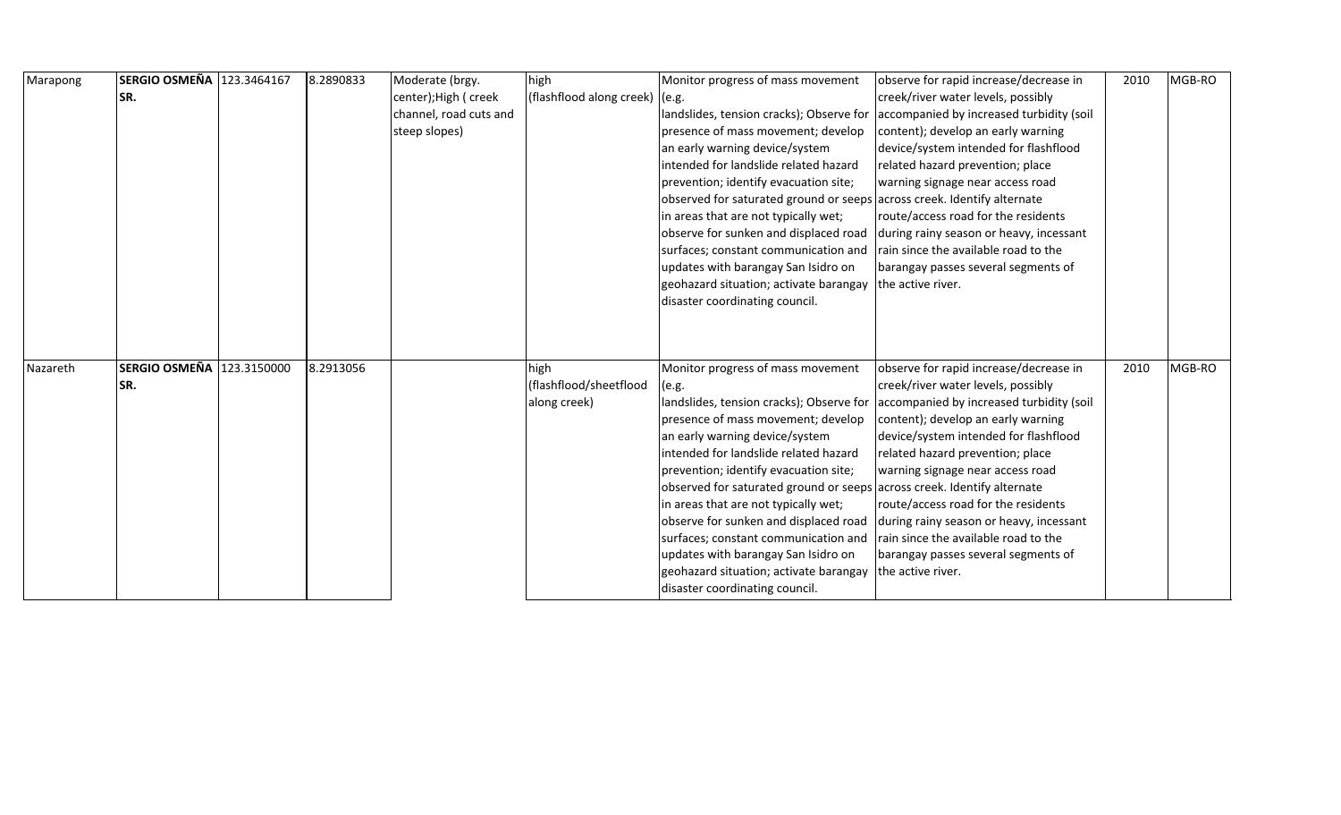| Marapong | SERGIO OSMEÑA 123.3464167 | 8.2890833 | Moderate (brgy.        | high                           | Monitor progress of mass movement                                       | observe for rapid increase/decrease in                                            | 2010 | MGB-RO |
|----------|---------------------------|-----------|------------------------|--------------------------------|-------------------------------------------------------------------------|-----------------------------------------------------------------------------------|------|--------|
|          | SR.                       |           | center); High ( creek  | (flashflood along creek) (e.g. |                                                                         | creek/river water levels, possibly                                                |      |        |
|          |                           |           | channel, road cuts and |                                |                                                                         | landslides, tension cracks); Observe for accompanied by increased turbidity (soil |      |        |
|          |                           |           | steep slopes)          |                                | presence of mass movement; develop                                      | content); develop an early warning                                                |      |        |
|          |                           |           |                        |                                | an early warning device/system                                          | device/system intended for flashflood                                             |      |        |
|          |                           |           |                        |                                | intended for landslide related hazard                                   | related hazard prevention; place                                                  |      |        |
|          |                           |           |                        |                                | prevention; identify evacuation site;                                   | warning signage near access road                                                  |      |        |
|          |                           |           |                        |                                | observed for saturated ground or seeps across creek. Identify alternate |                                                                                   |      |        |
|          |                           |           |                        |                                | in areas that are not typically wet;                                    | route/access road for the residents                                               |      |        |
|          |                           |           |                        |                                | observe for sunken and displaced road                                   | during rainy season or heavy, incessant                                           |      |        |
|          |                           |           |                        |                                | surfaces; constant communication and                                    | rain since the available road to the                                              |      |        |
|          |                           |           |                        |                                | updates with barangay San Isidro on                                     | barangay passes several segments of                                               |      |        |
|          |                           |           |                        |                                | geohazard situation; activate barangay                                  | the active river.                                                                 |      |        |
|          |                           |           |                        |                                | disaster coordinating council.                                          |                                                                                   |      |        |
|          |                           |           |                        |                                |                                                                         |                                                                                   |      |        |
|          |                           |           |                        |                                |                                                                         |                                                                                   |      |        |
|          |                           |           |                        |                                |                                                                         |                                                                                   |      |        |
| Nazareth | SERGIO OSMEÑA 123.3150000 | 8.2913056 |                        | high                           | Monitor progress of mass movement                                       | observe for rapid increase/decrease in                                            | 2010 | MGB-RO |
|          | SR.                       |           |                        | (flashflood/sheetflood         | (e.g.                                                                   | creek/river water levels, possibly                                                |      |        |
|          |                           |           |                        | along creek)                   |                                                                         | landslides, tension cracks); Observe for accompanied by increased turbidity (soil |      |        |
|          |                           |           |                        |                                | presence of mass movement; develop                                      | content); develop an early warning                                                |      |        |
|          |                           |           |                        |                                | an early warning device/system                                          | device/system intended for flashflood                                             |      |        |
|          |                           |           |                        |                                | intended for landslide related hazard                                   | related hazard prevention; place                                                  |      |        |
|          |                           |           |                        |                                | prevention; identify evacuation site;                                   | warning signage near access road                                                  |      |        |
|          |                           |           |                        |                                | observed for saturated ground or seeps across creek. Identify alternate |                                                                                   |      |        |
|          |                           |           |                        |                                | in areas that are not typically wet;                                    | route/access road for the residents                                               |      |        |
|          |                           |           |                        |                                | observe for sunken and displaced road                                   | during rainy season or heavy, incessant                                           |      |        |
|          |                           |           |                        |                                | surfaces; constant communication and                                    | rain since the available road to the                                              |      |        |
|          |                           |           |                        |                                | updates with barangay San Isidro on                                     | barangay passes several segments of                                               |      |        |
|          |                           |           |                        |                                | geohazard situation; activate barangay                                  | the active river.                                                                 |      |        |
|          |                           |           |                        |                                | disaster coordinating council.                                          |                                                                                   |      |        |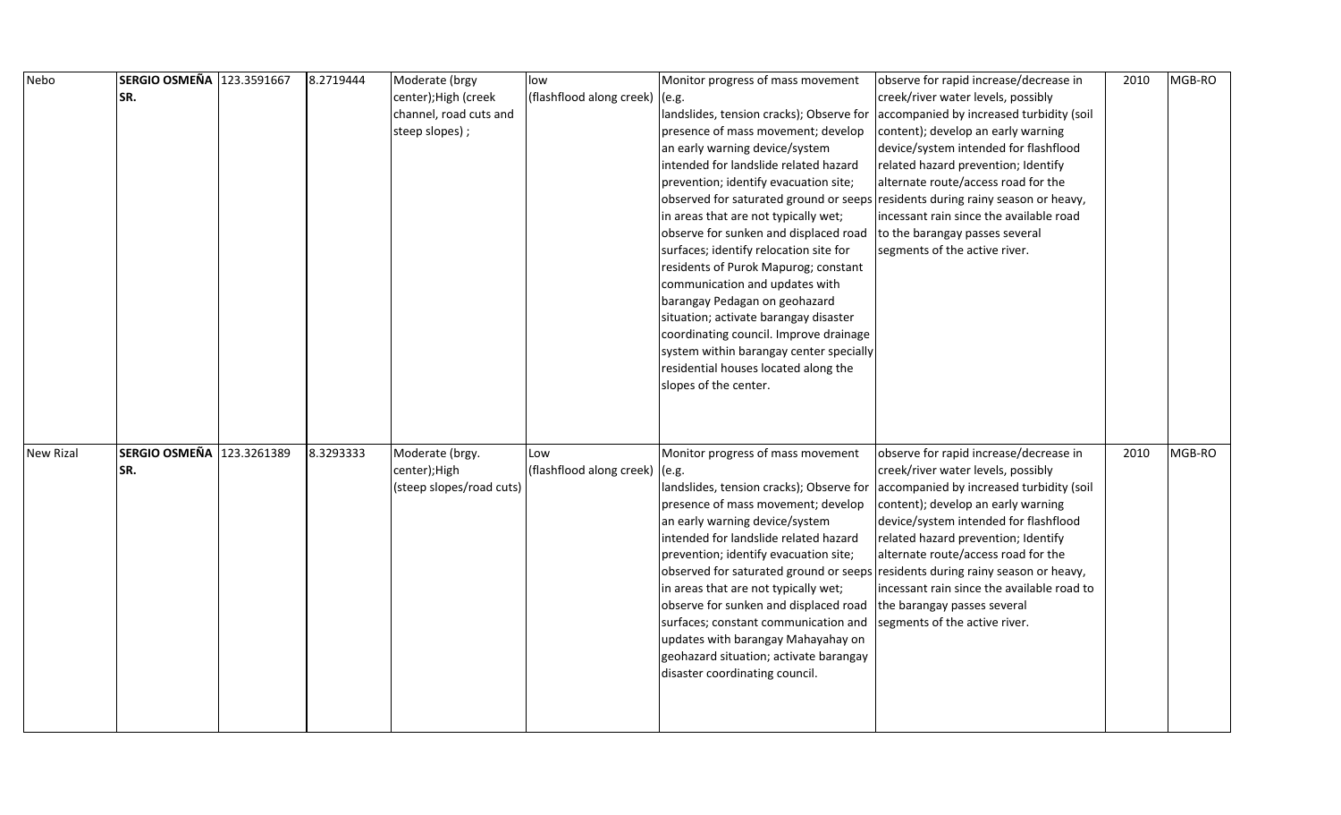| Nebo             | SERGIO OSMEÑA 123.3591667 | 8.2719444 | Moderate (brgy           | low                              | Monitor progress of mass movement        | observe for rapid increase/decrease in                                            | 2010 | MGB-RO |
|------------------|---------------------------|-----------|--------------------------|----------------------------------|------------------------------------------|-----------------------------------------------------------------------------------|------|--------|
|                  | SR.                       |           | center); High (creek     | (flashflood along creek) $(e.g.$ |                                          | creek/river water levels, possibly                                                |      |        |
|                  |                           |           | channel, road cuts and   |                                  |                                          | landslides, tension cracks); Observe for accompanied by increased turbidity (soil |      |        |
|                  |                           |           | steep slopes);           |                                  | presence of mass movement; develop       | content); develop an early warning                                                |      |        |
|                  |                           |           |                          |                                  | an early warning device/system           | device/system intended for flashflood                                             |      |        |
|                  |                           |           |                          |                                  | intended for landslide related hazard    | related hazard prevention; Identify                                               |      |        |
|                  |                           |           |                          |                                  | prevention; identify evacuation site;    | alternate route/access road for the                                               |      |        |
|                  |                           |           |                          |                                  |                                          | observed for saturated ground or seeps residents during rainy season or heavy,    |      |        |
|                  |                           |           |                          |                                  | in areas that are not typically wet;     | incessant rain since the available road                                           |      |        |
|                  |                           |           |                          |                                  | observe for sunken and displaced road    | to the barangay passes several                                                    |      |        |
|                  |                           |           |                          |                                  | surfaces; identify relocation site for   | segments of the active river.                                                     |      |        |
|                  |                           |           |                          |                                  | residents of Purok Mapurog; constant     |                                                                                   |      |        |
|                  |                           |           |                          |                                  | communication and updates with           |                                                                                   |      |        |
|                  |                           |           |                          |                                  | barangay Pedagan on geohazard            |                                                                                   |      |        |
|                  |                           |           |                          |                                  | situation; activate barangay disaster    |                                                                                   |      |        |
|                  |                           |           |                          |                                  | coordinating council. Improve drainage   |                                                                                   |      |        |
|                  |                           |           |                          |                                  | system within barangay center specially  |                                                                                   |      |        |
|                  |                           |           |                          |                                  | residential houses located along the     |                                                                                   |      |        |
|                  |                           |           |                          |                                  | slopes of the center.                    |                                                                                   |      |        |
|                  |                           |           |                          |                                  |                                          |                                                                                   |      |        |
|                  |                           |           |                          |                                  |                                          |                                                                                   |      |        |
|                  |                           |           |                          |                                  |                                          |                                                                                   |      |        |
| <b>New Rizal</b> | SERGIO OSMEÑA 123.3261389 | 8.3293333 | Moderate (brgy.          | Low                              | Monitor progress of mass movement        | observe for rapid increase/decrease in                                            | 2010 | MGB-RO |
|                  | SR.                       |           | center);High             | (flashflood along creek) (e.g.   |                                          | creek/river water levels, possibly                                                |      |        |
|                  |                           |           | (steep slopes/road cuts) |                                  | landslides, tension cracks); Observe for | accompanied by increased turbidity (soil                                          |      |        |
|                  |                           |           |                          |                                  | presence of mass movement; develop       | content); develop an early warning                                                |      |        |
|                  |                           |           |                          |                                  | an early warning device/system           | device/system intended for flashflood                                             |      |        |
|                  |                           |           |                          |                                  | intended for landslide related hazard    | related hazard prevention; Identify                                               |      |        |
|                  |                           |           |                          |                                  | prevention; identify evacuation site;    | alternate route/access road for the                                               |      |        |
|                  |                           |           |                          |                                  |                                          | observed for saturated ground or seeps residents during rainy season or heavy,    |      |        |
|                  |                           |           |                          |                                  | in areas that are not typically wet;     | incessant rain since the available road to                                        |      |        |
|                  |                           |           |                          |                                  | observe for sunken and displaced road    | the barangay passes several                                                       |      |        |
|                  |                           |           |                          |                                  | surfaces; constant communication and     | segments of the active river.                                                     |      |        |
|                  |                           |           |                          |                                  | updates with barangay Mahayahay on       |                                                                                   |      |        |
|                  |                           |           |                          |                                  | geohazard situation; activate barangay   |                                                                                   |      |        |
|                  |                           |           |                          |                                  | disaster coordinating council.           |                                                                                   |      |        |
|                  |                           |           |                          |                                  |                                          |                                                                                   |      |        |
|                  |                           |           |                          |                                  |                                          |                                                                                   |      |        |
|                  |                           |           |                          |                                  |                                          |                                                                                   |      |        |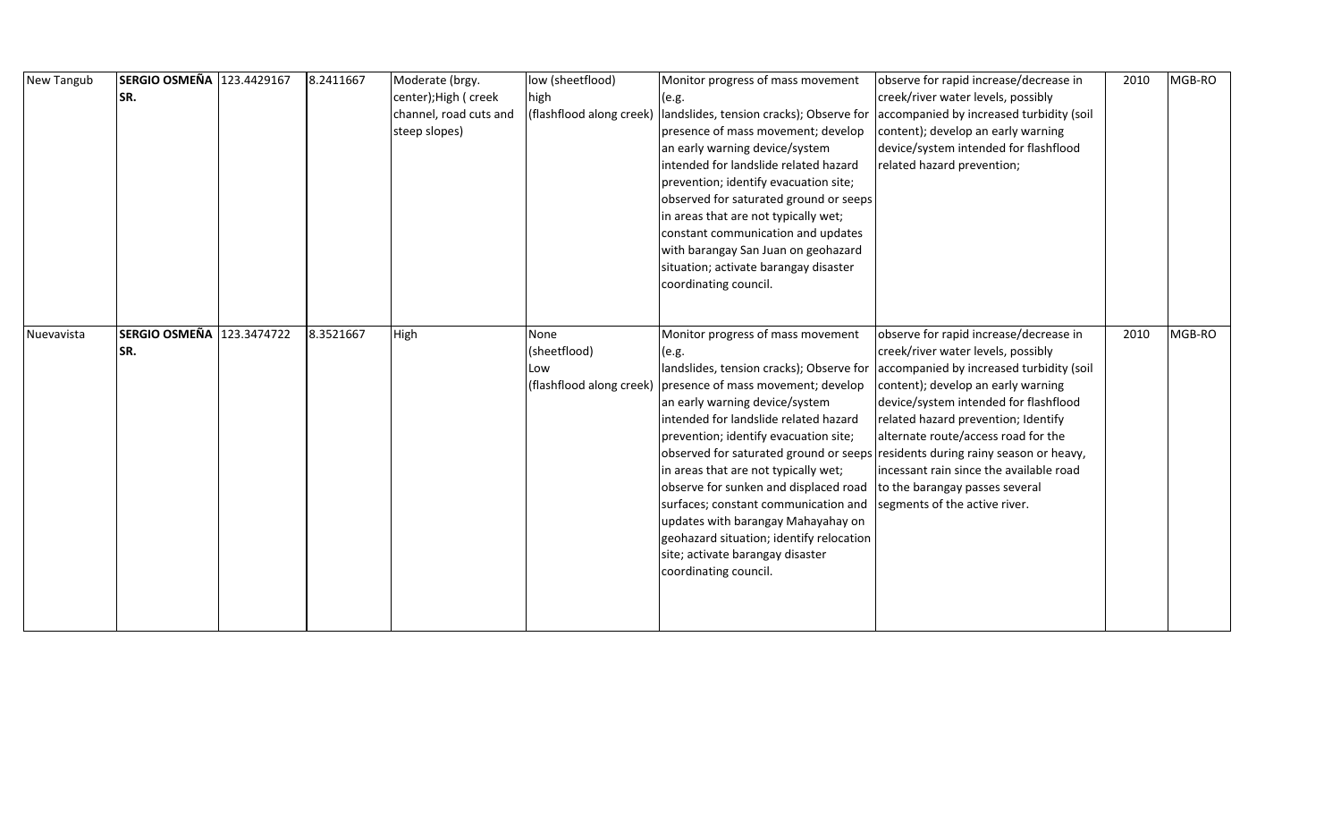| New Tangub | SERGIO OSMEÑA 123.4429167 | 8.2411667 | Moderate (brgy.        | low (sheetflood)         | Monitor progress of mass movement                                              | observe for rapid increase/decrease in   | 2010 | MGB-RO |
|------------|---------------------------|-----------|------------------------|--------------------------|--------------------------------------------------------------------------------|------------------------------------------|------|--------|
|            | SR.                       |           | center); High ( creek  | high                     | (e.g.                                                                          | creek/river water levels, possibly       |      |        |
|            |                           |           | channel, road cuts and | (flashflood along creek) | landslides, tension cracks); Observe for                                       | accompanied by increased turbidity (soil |      |        |
|            |                           |           | steep slopes)          |                          | presence of mass movement; develop                                             | content); develop an early warning       |      |        |
|            |                           |           |                        |                          | an early warning device/system                                                 | device/system intended for flashflood    |      |        |
|            |                           |           |                        |                          | intended for landslide related hazard                                          | related hazard prevention;               |      |        |
|            |                           |           |                        |                          | prevention; identify evacuation site;                                          |                                          |      |        |
|            |                           |           |                        |                          | observed for saturated ground or seeps                                         |                                          |      |        |
|            |                           |           |                        |                          | in areas that are not typically wet;                                           |                                          |      |        |
|            |                           |           |                        |                          | constant communication and updates                                             |                                          |      |        |
|            |                           |           |                        |                          | with barangay San Juan on geohazard                                            |                                          |      |        |
|            |                           |           |                        |                          | situation; activate barangay disaster                                          |                                          |      |        |
|            |                           |           |                        |                          | coordinating council.                                                          |                                          |      |        |
|            |                           |           |                        |                          |                                                                                |                                          |      |        |
| Nuevavista | SERGIO OSMEÑA 123.3474722 | 8.3521667 | High                   | None                     | Monitor progress of mass movement                                              | observe for rapid increase/decrease in   | 2010 | MGB-RO |
|            | SR.                       |           |                        | (sheetflood)             | (e.g.                                                                          | creek/river water levels, possibly       |      |        |
|            |                           |           |                        | Low                      | landslides, tension cracks); Observe for                                       | accompanied by increased turbidity (soil |      |        |
|            |                           |           |                        | (flashflood along creek) | presence of mass movement; develop                                             | content); develop an early warning       |      |        |
|            |                           |           |                        |                          | an early warning device/system                                                 | device/system intended for flashflood    |      |        |
|            |                           |           |                        |                          | intended for landslide related hazard                                          | related hazard prevention; Identify      |      |        |
|            |                           |           |                        |                          | prevention; identify evacuation site;                                          | alternate route/access road for the      |      |        |
|            |                           |           |                        |                          | observed for saturated ground or seeps residents during rainy season or heavy, |                                          |      |        |
|            |                           |           |                        |                          | in areas that are not typically wet;                                           | incessant rain since the available road  |      |        |
|            |                           |           |                        |                          | observe for sunken and displaced road                                          | to the barangay passes several           |      |        |
|            |                           |           |                        |                          | surfaces; constant communication and                                           | segments of the active river.            |      |        |
|            |                           |           |                        |                          | updates with barangay Mahayahay on                                             |                                          |      |        |
|            |                           |           |                        |                          | geohazard situation; identify relocation                                       |                                          |      |        |
|            |                           |           |                        |                          | site; activate barangay disaster                                               |                                          |      |        |
|            |                           |           |                        |                          | coordinating council.                                                          |                                          |      |        |
|            |                           |           |                        |                          |                                                                                |                                          |      |        |
|            |                           |           |                        |                          |                                                                                |                                          |      |        |
|            |                           |           |                        |                          |                                                                                |                                          |      |        |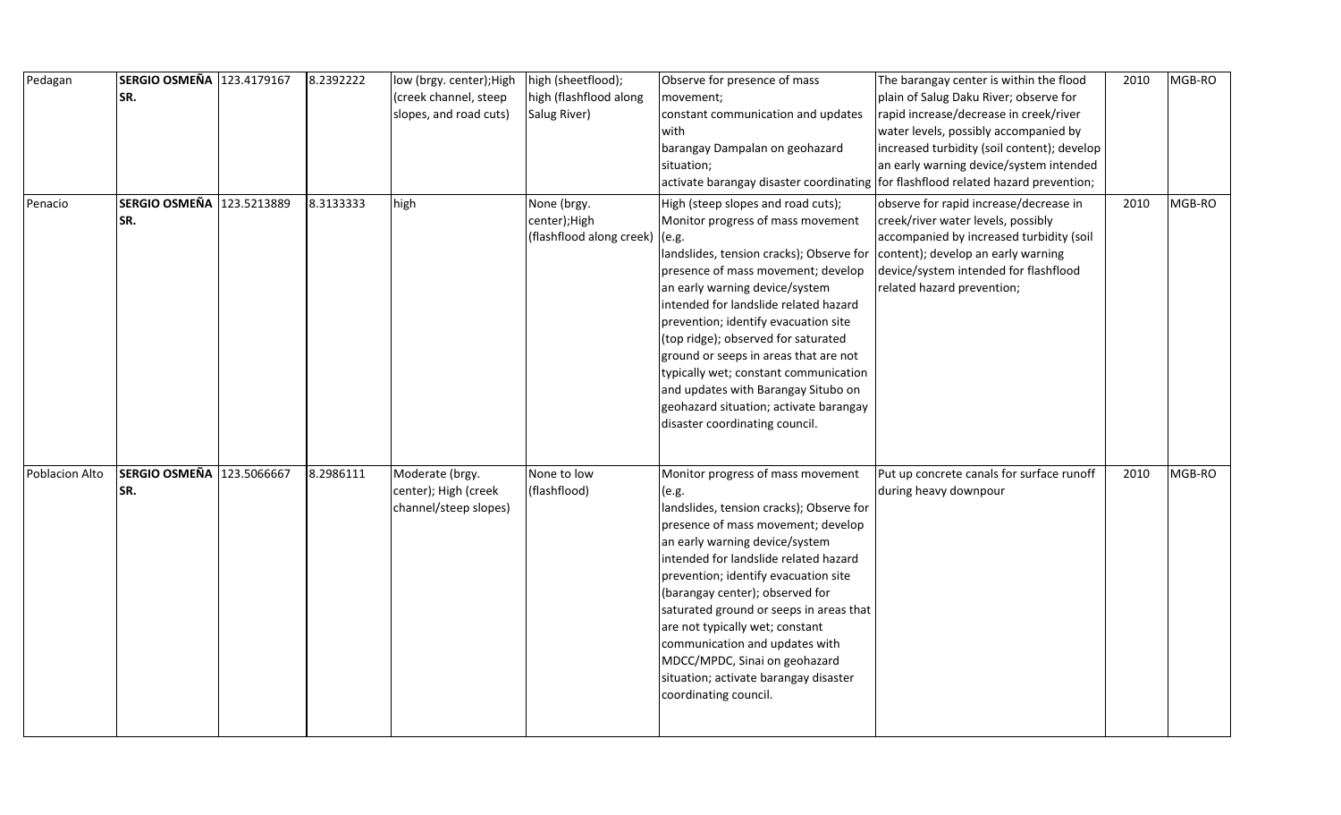| Pedagan        | SERGIO OSMEÑA 123.4179167<br>SR. | 8.2392222 | low (brgy. center); High<br>(creek channel, steep | high (sheetflood);<br>high (flashflood along | Observe for presence of mass<br>movement; | The barangay center is within the flood<br>plain of Salug Daku River; observe for | 2010 | MGB-RO |
|----------------|----------------------------------|-----------|---------------------------------------------------|----------------------------------------------|-------------------------------------------|-----------------------------------------------------------------------------------|------|--------|
|                |                                  |           | slopes, and road cuts)                            | Salug River)                                 | constant communication and updates        | rapid increase/decrease in creek/river                                            |      |        |
|                |                                  |           |                                                   |                                              | with                                      | water levels, possibly accompanied by                                             |      |        |
|                |                                  |           |                                                   |                                              | barangay Dampalan on geohazard            | increased turbidity (soil content); develop                                       |      |        |
|                |                                  |           |                                                   |                                              | situation;                                | an early warning device/system intended                                           |      |        |
|                |                                  |           |                                                   |                                              |                                           | activate barangay disaster coordinating for flashflood related hazard prevention; |      |        |
|                |                                  |           |                                                   |                                              |                                           |                                                                                   |      |        |
| Penacio        | SERGIO OSMEÑA 123.5213889        | 8.3133333 | high                                              | None (brgy.                                  | High (steep slopes and road cuts);        | observe for rapid increase/decrease in                                            | 2010 | MGB-RO |
|                | SR.                              |           |                                                   | center); High                                | Monitor progress of mass movement         | creek/river water levels, possibly                                                |      |        |
|                |                                  |           |                                                   | (flashflood along creek) (e.g.               |                                           | accompanied by increased turbidity (soil                                          |      |        |
|                |                                  |           |                                                   |                                              | landslides, tension cracks); Observe for  | content); develop an early warning                                                |      |        |
|                |                                  |           |                                                   |                                              | presence of mass movement; develop        | device/system intended for flashflood                                             |      |        |
|                |                                  |           |                                                   |                                              | an early warning device/system            | related hazard prevention;                                                        |      |        |
|                |                                  |           |                                                   |                                              | intended for landslide related hazard     |                                                                                   |      |        |
|                |                                  |           |                                                   |                                              | prevention; identify evacuation site      |                                                                                   |      |        |
|                |                                  |           |                                                   |                                              | (top ridge); observed for saturated       |                                                                                   |      |        |
|                |                                  |           |                                                   |                                              | ground or seeps in areas that are not     |                                                                                   |      |        |
|                |                                  |           |                                                   |                                              | typically wet; constant communication     |                                                                                   |      |        |
|                |                                  |           |                                                   |                                              | and updates with Barangay Situbo on       |                                                                                   |      |        |
|                |                                  |           |                                                   |                                              | geohazard situation; activate barangay    |                                                                                   |      |        |
|                |                                  |           |                                                   |                                              | disaster coordinating council.            |                                                                                   |      |        |
|                |                                  |           |                                                   |                                              |                                           |                                                                                   |      |        |
| Poblacion Alto | SERGIO OSMEÑA 123.5066667        | 8.2986111 | Moderate (brgy.                                   | None to low                                  | Monitor progress of mass movement         | Put up concrete canals for surface runoff                                         | 2010 | MGB-RO |
|                | SR.                              |           | center); High (creek                              | (flashflood)                                 | (e.g.                                     | during heavy downpour                                                             |      |        |
|                |                                  |           | channel/steep slopes)                             |                                              | landslides, tension cracks); Observe for  |                                                                                   |      |        |
|                |                                  |           |                                                   |                                              | presence of mass movement; develop        |                                                                                   |      |        |
|                |                                  |           |                                                   |                                              | an early warning device/system            |                                                                                   |      |        |
|                |                                  |           |                                                   |                                              | intended for landslide related hazard     |                                                                                   |      |        |
|                |                                  |           |                                                   |                                              | prevention; identify evacuation site      |                                                                                   |      |        |
|                |                                  |           |                                                   |                                              | (barangay center); observed for           |                                                                                   |      |        |
|                |                                  |           |                                                   |                                              | saturated ground or seeps in areas that   |                                                                                   |      |        |
|                |                                  |           |                                                   |                                              | are not typically wet; constant           |                                                                                   |      |        |
|                |                                  |           |                                                   |                                              | communication and updates with            |                                                                                   |      |        |
|                |                                  |           |                                                   |                                              | MDCC/MPDC, Sinai on geohazard             |                                                                                   |      |        |
|                |                                  |           |                                                   |                                              | situation; activate barangay disaster     |                                                                                   |      |        |
|                |                                  |           |                                                   |                                              | coordinating council.                     |                                                                                   |      |        |
|                |                                  |           |                                                   |                                              |                                           |                                                                                   |      |        |
|                |                                  |           |                                                   |                                              |                                           |                                                                                   |      |        |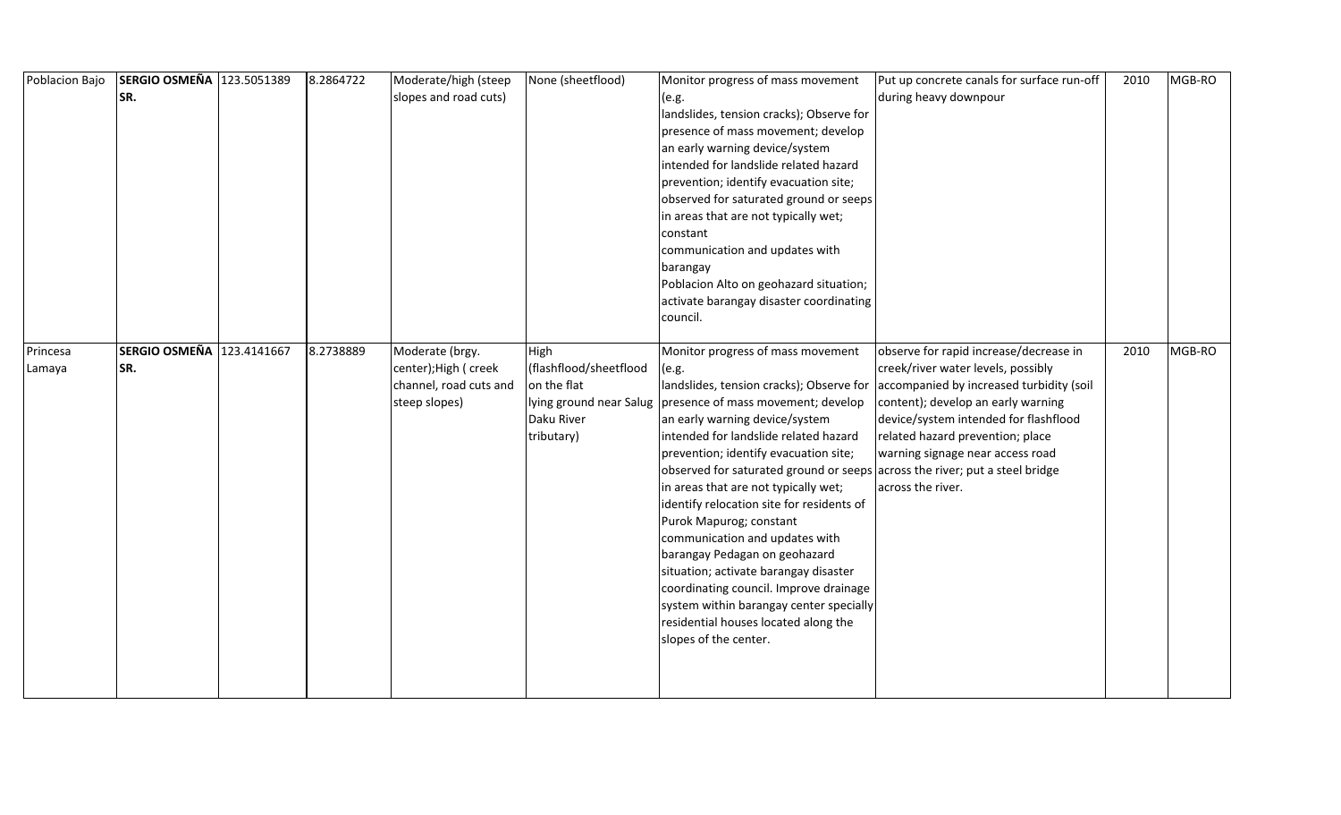| Poblacion Bajo | SERGIO OSMEÑA 123.5051389 | 8.2864722 | Moderate/high (steep   | None (sheetflood)      | Monitor progress of mass movement                                           | Put up concrete canals for surface run-off | 2010 | MGB-RO |
|----------------|---------------------------|-----------|------------------------|------------------------|-----------------------------------------------------------------------------|--------------------------------------------|------|--------|
|                | SR.                       |           | slopes and road cuts)  |                        | (e.g.                                                                       | during heavy downpour                      |      |        |
|                |                           |           |                        |                        | landslides, tension cracks); Observe for                                    |                                            |      |        |
|                |                           |           |                        |                        | presence of mass movement; develop                                          |                                            |      |        |
|                |                           |           |                        |                        | an early warning device/system                                              |                                            |      |        |
|                |                           |           |                        |                        | intended for landslide related hazard                                       |                                            |      |        |
|                |                           |           |                        |                        | prevention; identify evacuation site;                                       |                                            |      |        |
|                |                           |           |                        |                        | observed for saturated ground or seeps                                      |                                            |      |        |
|                |                           |           |                        |                        | in areas that are not typically wet;                                        |                                            |      |        |
|                |                           |           |                        |                        | constant                                                                    |                                            |      |        |
|                |                           |           |                        |                        | communication and updates with                                              |                                            |      |        |
|                |                           |           |                        |                        | barangay                                                                    |                                            |      |        |
|                |                           |           |                        |                        | Poblacion Alto on geohazard situation;                                      |                                            |      |        |
|                |                           |           |                        |                        | activate barangay disaster coordinating                                     |                                            |      |        |
|                |                           |           |                        |                        | council.                                                                    |                                            |      |        |
|                |                           |           |                        |                        |                                                                             |                                            |      |        |
| Princesa       | SERGIO OSMEÑA 123.4141667 | 8.2738889 | Moderate (brgy.        | High                   | Monitor progress of mass movement                                           | observe for rapid increase/decrease in     | 2010 | MGB-RO |
| Lamaya         | SR.                       |           | center); High ( creek  | (flashflood/sheetflood | (e.g.                                                                       | creek/river water levels, possibly         |      |        |
|                |                           |           | channel, road cuts and | on the flat            | landslides, tension cracks); Observe for                                    | accompanied by increased turbidity (soil   |      |        |
|                |                           |           | steep slopes)          |                        | lying ground near Salug   presence of mass movement; develop                | content); develop an early warning         |      |        |
|                |                           |           |                        | Daku River             | an early warning device/system                                              | device/system intended for flashflood      |      |        |
|                |                           |           |                        | tributary)             | intended for landslide related hazard                                       | related hazard prevention; place           |      |        |
|                |                           |           |                        |                        | prevention; identify evacuation site;                                       | warning signage near access road           |      |        |
|                |                           |           |                        |                        | observed for saturated ground or seeps across the river; put a steel bridge |                                            |      |        |
|                |                           |           |                        |                        | in areas that are not typically wet;                                        | across the river.                          |      |        |
|                |                           |           |                        |                        | identify relocation site for residents of                                   |                                            |      |        |
|                |                           |           |                        |                        | Purok Mapurog; constant                                                     |                                            |      |        |
|                |                           |           |                        |                        | communication and updates with                                              |                                            |      |        |
|                |                           |           |                        |                        | barangay Pedagan on geohazard                                               |                                            |      |        |
|                |                           |           |                        |                        | situation; activate barangay disaster                                       |                                            |      |        |
|                |                           |           |                        |                        | coordinating council. Improve drainage                                      |                                            |      |        |
|                |                           |           |                        |                        | system within barangay center specially                                     |                                            |      |        |
|                |                           |           |                        |                        | residential houses located along the                                        |                                            |      |        |
|                |                           |           |                        |                        | slopes of the center.                                                       |                                            |      |        |
|                |                           |           |                        |                        |                                                                             |                                            |      |        |
|                |                           |           |                        |                        |                                                                             |                                            |      |        |
|                |                           |           |                        |                        |                                                                             |                                            |      |        |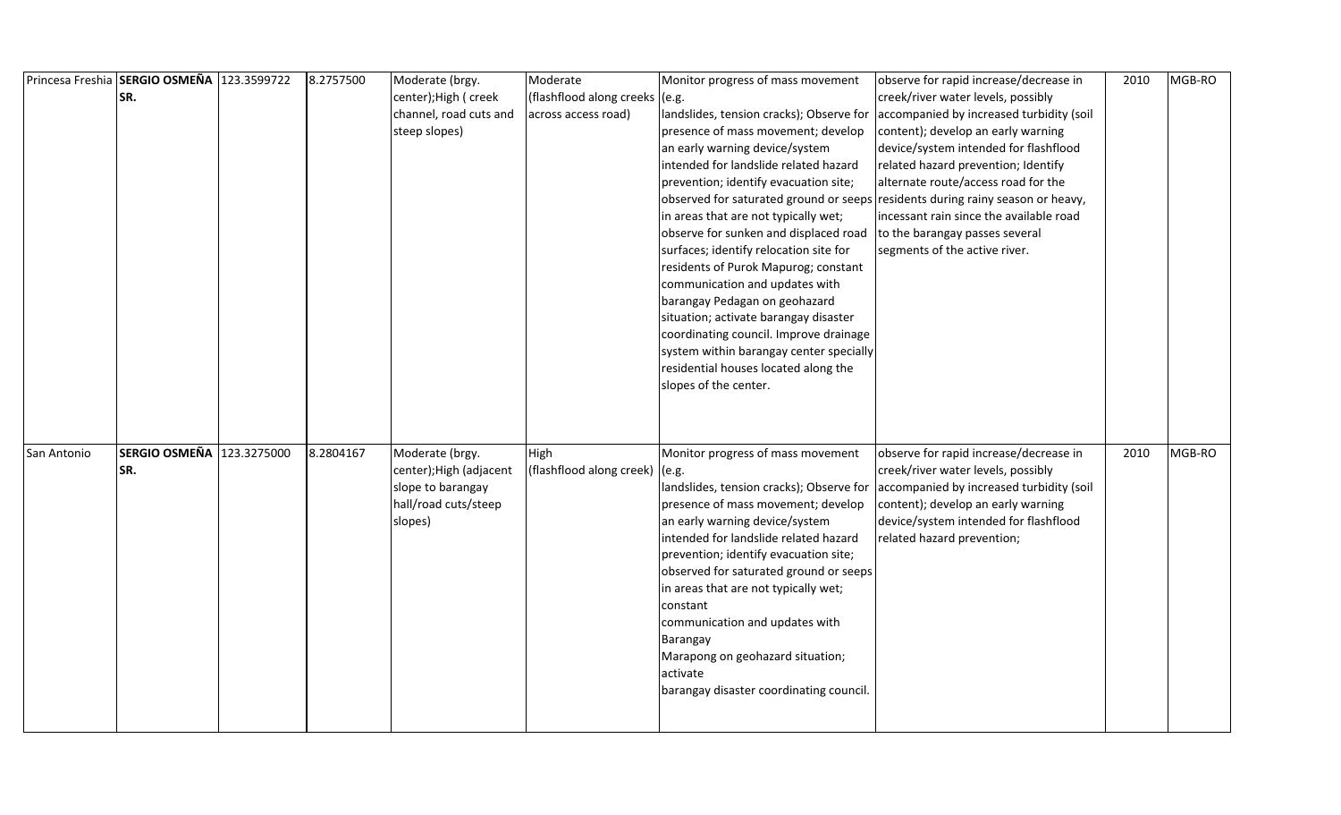|             | Princesa Freshia SERGIO OSMEÑA 123.3599722 | 8.2757500 | Moderate (brgy.         | Moderate                       | Monitor progress of mass movement        | observe for rapid increase/decrease in                                         | 2010 | MGB-RO |
|-------------|--------------------------------------------|-----------|-------------------------|--------------------------------|------------------------------------------|--------------------------------------------------------------------------------|------|--------|
|             | SR.                                        |           | center); High ( creek   | (flashflood along creeks (e.g. |                                          | creek/river water levels, possibly                                             |      |        |
|             |                                            |           | channel, road cuts and  | across access road)            | landslides, tension cracks); Observe for | accompanied by increased turbidity (soil                                       |      |        |
|             |                                            |           | steep slopes)           |                                | presence of mass movement; develop       | content); develop an early warning                                             |      |        |
|             |                                            |           |                         |                                | an early warning device/system           | device/system intended for flashflood                                          |      |        |
|             |                                            |           |                         |                                | intended for landslide related hazard    | related hazard prevention; Identify                                            |      |        |
|             |                                            |           |                         |                                | prevention; identify evacuation site;    | alternate route/access road for the                                            |      |        |
|             |                                            |           |                         |                                |                                          | observed for saturated ground or seeps residents during rainy season or heavy, |      |        |
|             |                                            |           |                         |                                | in areas that are not typically wet;     | incessant rain since the available road                                        |      |        |
|             |                                            |           |                         |                                | observe for sunken and displaced road    | to the barangay passes several                                                 |      |        |
|             |                                            |           |                         |                                | surfaces; identify relocation site for   | segments of the active river.                                                  |      |        |
|             |                                            |           |                         |                                | residents of Purok Mapurog; constant     |                                                                                |      |        |
|             |                                            |           |                         |                                | communication and updates with           |                                                                                |      |        |
|             |                                            |           |                         |                                | barangay Pedagan on geohazard            |                                                                                |      |        |
|             |                                            |           |                         |                                | situation; activate barangay disaster    |                                                                                |      |        |
|             |                                            |           |                         |                                | coordinating council. Improve drainage   |                                                                                |      |        |
|             |                                            |           |                         |                                | system within barangay center specially  |                                                                                |      |        |
|             |                                            |           |                         |                                | residential houses located along the     |                                                                                |      |        |
|             |                                            |           |                         |                                | slopes of the center.                    |                                                                                |      |        |
|             |                                            |           |                         |                                |                                          |                                                                                |      |        |
|             |                                            |           |                         |                                |                                          |                                                                                |      |        |
| San Antonio | SERGIO OSMEÑA 123.3275000                  | 8.2804167 | Moderate (brgy.         | High                           | Monitor progress of mass movement        | observe for rapid increase/decrease in                                         | 2010 | MGB-RO |
|             | SR.                                        |           | center); High (adjacent | (flashflood along creek) (e.g. |                                          | creek/river water levels, possibly                                             |      |        |
|             |                                            |           | slope to barangay       |                                | landslides, tension cracks); Observe for | accompanied by increased turbidity (soil                                       |      |        |
|             |                                            |           | hall/road cuts/steep    |                                | presence of mass movement; develop       | content); develop an early warning                                             |      |        |
|             |                                            |           | slopes)                 |                                | an early warning device/system           | device/system intended for flashflood                                          |      |        |
|             |                                            |           |                         |                                | intended for landslide related hazard    | related hazard prevention;                                                     |      |        |
|             |                                            |           |                         |                                | prevention; identify evacuation site;    |                                                                                |      |        |
|             |                                            |           |                         |                                | observed for saturated ground or seeps   |                                                                                |      |        |
|             |                                            |           |                         |                                | in areas that are not typically wet;     |                                                                                |      |        |
|             |                                            |           |                         |                                | constant                                 |                                                                                |      |        |
|             |                                            |           |                         |                                | communication and updates with           |                                                                                |      |        |
|             |                                            |           |                         |                                | Barangay                                 |                                                                                |      |        |
|             |                                            |           |                         |                                | Marapong on geohazard situation;         |                                                                                |      |        |
|             |                                            |           |                         |                                | activate                                 |                                                                                |      |        |
|             |                                            |           |                         |                                | barangay disaster coordinating council.  |                                                                                |      |        |
|             |                                            |           |                         |                                |                                          |                                                                                |      |        |
|             |                                            |           |                         |                                |                                          |                                                                                |      |        |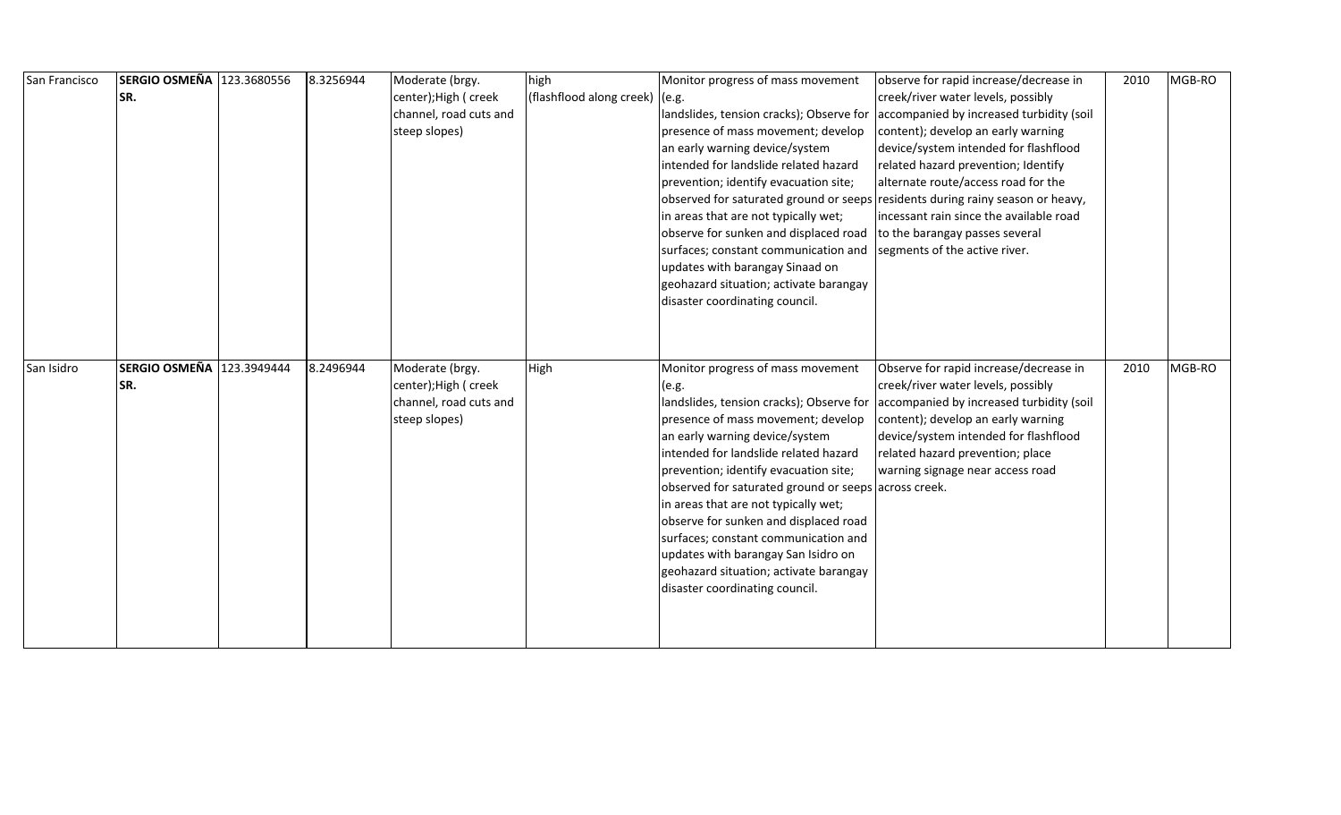| San Francisco | SERGIO OSMEÑA 123.3680556 | 8.3256944 | Moderate (brgy.                                 | high                             | Monitor progress of mass movement                                    | observe for rapid increase/decrease in                                         | 2010 | MGB-RO |
|---------------|---------------------------|-----------|-------------------------------------------------|----------------------------------|----------------------------------------------------------------------|--------------------------------------------------------------------------------|------|--------|
|               | SR.                       |           | center); High ( creek                           | (flashflood along creek) $(e.g.$ |                                                                      | creek/river water levels, possibly                                             |      |        |
|               |                           |           | channel, road cuts and                          |                                  | landslides, tension cracks); Observe for                             | accompanied by increased turbidity (soil                                       |      |        |
|               |                           |           | steep slopes)                                   |                                  | presence of mass movement; develop                                   | content); develop an early warning                                             |      |        |
|               |                           |           |                                                 |                                  | an early warning device/system                                       | device/system intended for flashflood                                          |      |        |
|               |                           |           |                                                 |                                  | intended for landslide related hazard                                | related hazard prevention; Identify                                            |      |        |
|               |                           |           |                                                 |                                  | prevention; identify evacuation site;                                | alternate route/access road for the                                            |      |        |
|               |                           |           |                                                 |                                  |                                                                      | observed for saturated ground or seeps residents during rainy season or heavy, |      |        |
|               |                           |           |                                                 |                                  | in areas that are not typically wet;                                 | incessant rain since the available road                                        |      |        |
|               |                           |           |                                                 |                                  | observe for sunken and displaced road to the barangay passes several |                                                                                |      |        |
|               |                           |           |                                                 |                                  | surfaces; constant communication and                                 | segments of the active river.                                                  |      |        |
|               |                           |           |                                                 |                                  | updates with barangay Sinaad on                                      |                                                                                |      |        |
|               |                           |           |                                                 |                                  | geohazard situation; activate barangay                               |                                                                                |      |        |
|               |                           |           |                                                 |                                  | disaster coordinating council.                                       |                                                                                |      |        |
|               |                           |           |                                                 |                                  |                                                                      |                                                                                |      |        |
|               |                           |           |                                                 |                                  |                                                                      |                                                                                |      |        |
|               | SERGIO OSMEÑA 123.3949444 | 8.2496944 |                                                 |                                  |                                                                      |                                                                                |      | MGB-RO |
| San Isidro    |                           |           | Moderate (brgy.                                 | High                             | Monitor progress of mass movement                                    | Observe for rapid increase/decrease in<br>creek/river water levels, possibly   | 2010 |        |
|               | SR.                       |           | center); High ( creek<br>channel, road cuts and |                                  | (e.g.<br>landslides, tension cracks); Observe for                    |                                                                                |      |        |
|               |                           |           | steep slopes)                                   |                                  | presence of mass movement; develop                                   | accompanied by increased turbidity (soil<br>content); develop an early warning |      |        |
|               |                           |           |                                                 |                                  | an early warning device/system                                       | device/system intended for flashflood                                          |      |        |
|               |                           |           |                                                 |                                  | intended for landslide related hazard                                | related hazard prevention; place                                               |      |        |
|               |                           |           |                                                 |                                  | prevention; identify evacuation site;                                | warning signage near access road                                               |      |        |
|               |                           |           |                                                 |                                  | observed for saturated ground or seeps across creek.                 |                                                                                |      |        |
|               |                           |           |                                                 |                                  | in areas that are not typically wet;                                 |                                                                                |      |        |
|               |                           |           |                                                 |                                  | observe for sunken and displaced road                                |                                                                                |      |        |
|               |                           |           |                                                 |                                  | surfaces; constant communication and                                 |                                                                                |      |        |
|               |                           |           |                                                 |                                  | updates with barangay San Isidro on                                  |                                                                                |      |        |
|               |                           |           |                                                 |                                  | geohazard situation; activate barangay                               |                                                                                |      |        |
|               |                           |           |                                                 |                                  |                                                                      |                                                                                |      |        |
|               |                           |           |                                                 |                                  |                                                                      |                                                                                |      |        |
|               |                           |           |                                                 |                                  | disaster coordinating council.                                       |                                                                                |      |        |
|               |                           |           |                                                 |                                  |                                                                      |                                                                                |      |        |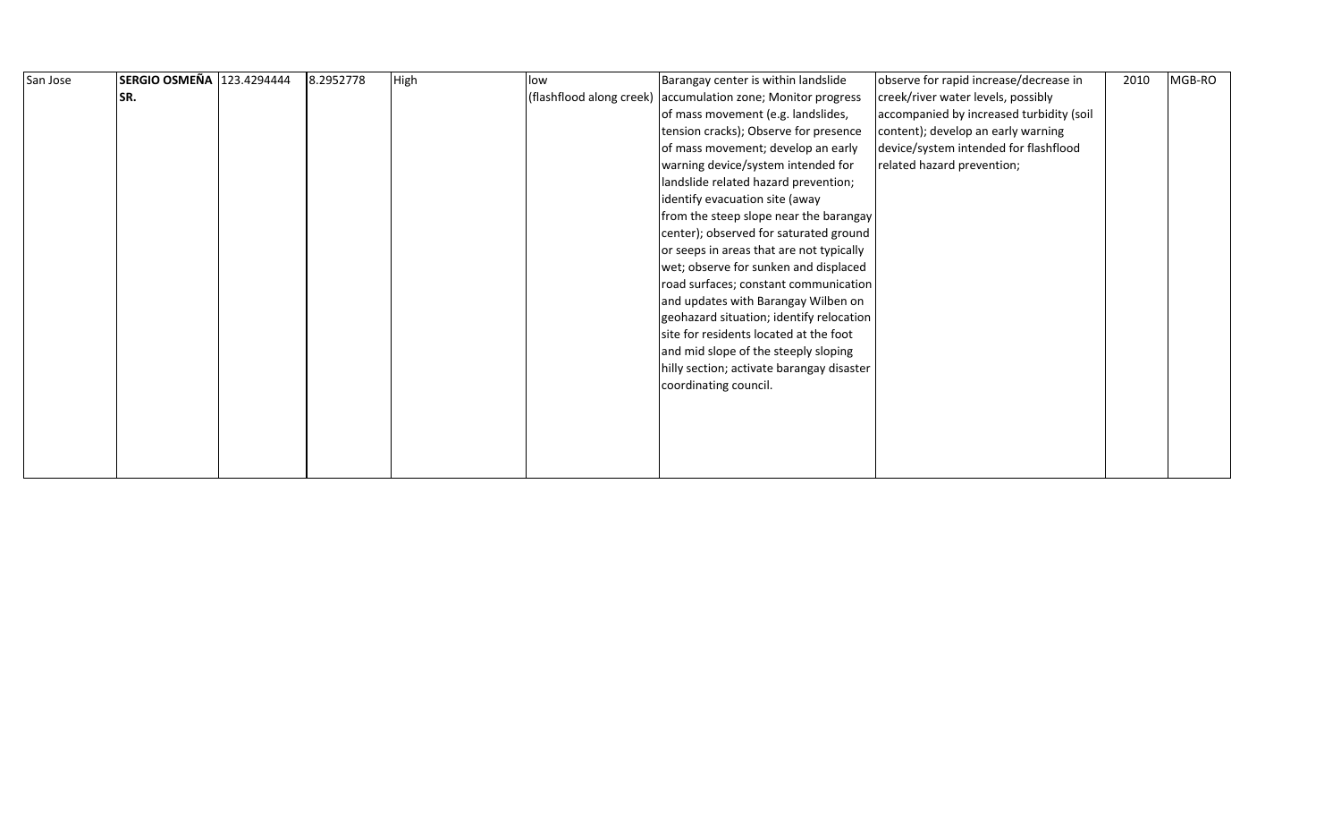| San Jose | SERGIO OSMEÑA 123.4294444 | 8.2952778 | High | llow | Barangay center is within landslide                          | observe for rapid increase/decrease in   | 2010 | MGB-RO |  |
|----------|---------------------------|-----------|------|------|--------------------------------------------------------------|------------------------------------------|------|--------|--|
|          | SR.                       |           |      |      | (flashflood along creek) accumulation zone; Monitor progress | creek/river water levels, possibly       |      |        |  |
|          |                           |           |      |      | of mass movement (e.g. landslides,                           | accompanied by increased turbidity (soil |      |        |  |
|          |                           |           |      |      | tension cracks); Observe for presence                        | content); develop an early warning       |      |        |  |
|          |                           |           |      |      | of mass movement; develop an early                           | device/system intended for flashflood    |      |        |  |
|          |                           |           |      |      | warning device/system intended for                           | related hazard prevention;               |      |        |  |
|          |                           |           |      |      | landslide related hazard prevention;                         |                                          |      |        |  |
|          |                           |           |      |      | identify evacuation site (away                               |                                          |      |        |  |
|          |                           |           |      |      | from the steep slope near the barangay                       |                                          |      |        |  |
|          |                           |           |      |      | center); observed for saturated ground                       |                                          |      |        |  |
|          |                           |           |      |      | or seeps in areas that are not typically                     |                                          |      |        |  |
|          |                           |           |      |      | wet; observe for sunken and displaced                        |                                          |      |        |  |
|          |                           |           |      |      | road surfaces; constant communication                        |                                          |      |        |  |
|          |                           |           |      |      | and updates with Barangay Wilben on                          |                                          |      |        |  |
|          |                           |           |      |      | geohazard situation; identify relocation                     |                                          |      |        |  |
|          |                           |           |      |      | site for residents located at the foot                       |                                          |      |        |  |
|          |                           |           |      |      | and mid slope of the steeply sloping                         |                                          |      |        |  |
|          |                           |           |      |      | hilly section; activate barangay disaster                    |                                          |      |        |  |
|          |                           |           |      |      | coordinating council.                                        |                                          |      |        |  |
|          |                           |           |      |      |                                                              |                                          |      |        |  |
|          |                           |           |      |      |                                                              |                                          |      |        |  |
|          |                           |           |      |      |                                                              |                                          |      |        |  |
|          |                           |           |      |      |                                                              |                                          |      |        |  |
|          |                           |           |      |      |                                                              |                                          |      |        |  |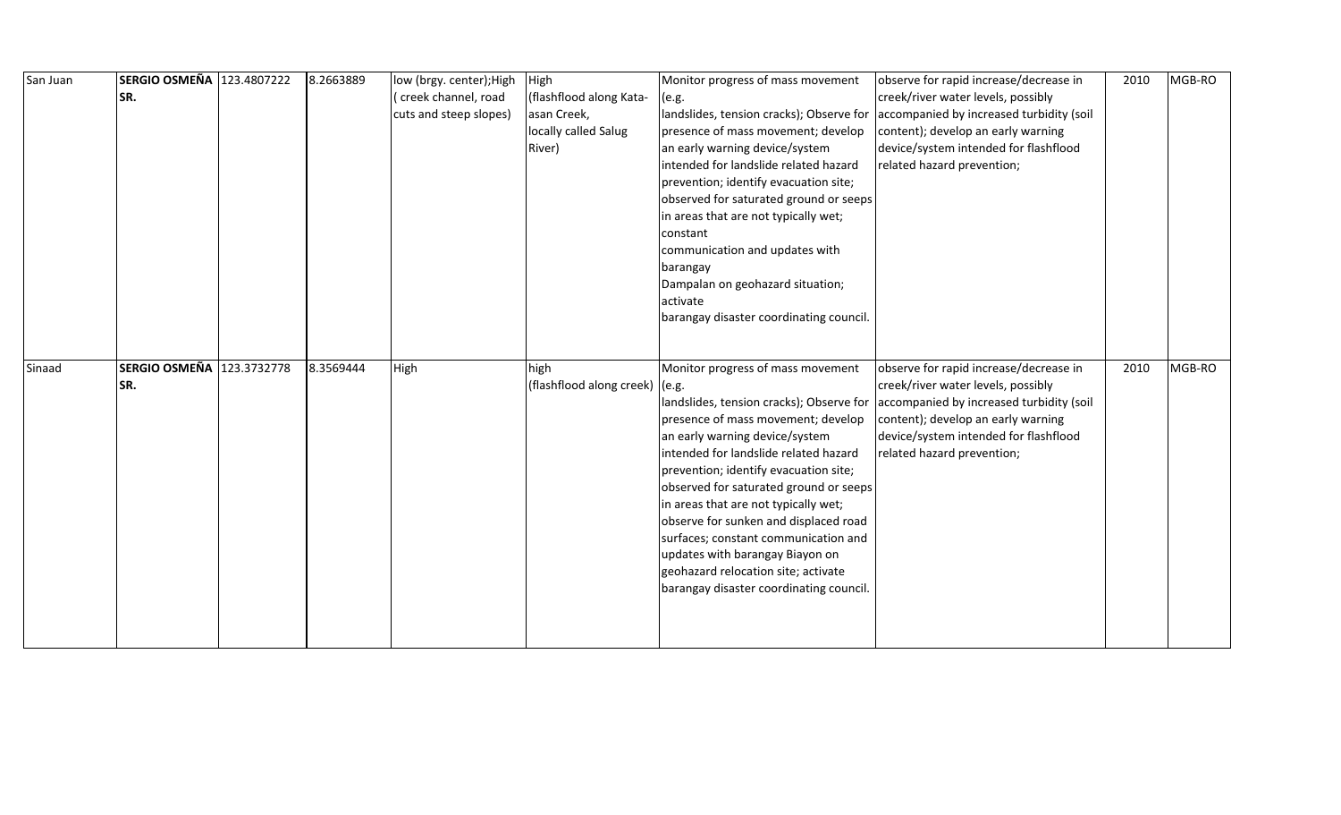| San Juan | SERGIO OSMEÑA 123.4807222 | 8.2663889 | low (brgy. center); High | High                           | Monitor progress of mass movement        | observe for rapid increase/decrease in   | 2010 | MGB-RO |
|----------|---------------------------|-----------|--------------------------|--------------------------------|------------------------------------------|------------------------------------------|------|--------|
|          | SR.                       |           | (creek channel, road     | (flashflood along Kata-        | (e.g.                                    | creek/river water levels, possibly       |      |        |
|          |                           |           | cuts and steep slopes)   | asan Creek,                    | landslides, tension cracks); Observe for | accompanied by increased turbidity (soil |      |        |
|          |                           |           |                          | locally called Salug           | presence of mass movement; develop       | content); develop an early warning       |      |        |
|          |                           |           |                          | River)                         | an early warning device/system           | device/system intended for flashflood    |      |        |
|          |                           |           |                          |                                | intended for landslide related hazard    | related hazard prevention;               |      |        |
|          |                           |           |                          |                                | prevention; identify evacuation site;    |                                          |      |        |
|          |                           |           |                          |                                | observed for saturated ground or seeps   |                                          |      |        |
|          |                           |           |                          |                                | in areas that are not typically wet;     |                                          |      |        |
|          |                           |           |                          |                                | constant                                 |                                          |      |        |
|          |                           |           |                          |                                | communication and updates with           |                                          |      |        |
|          |                           |           |                          |                                | barangay                                 |                                          |      |        |
|          |                           |           |                          |                                | Dampalan on geohazard situation;         |                                          |      |        |
|          |                           |           |                          |                                | activate                                 |                                          |      |        |
|          |                           |           |                          |                                | barangay disaster coordinating council.  |                                          |      |        |
|          |                           |           |                          |                                |                                          |                                          |      |        |
|          |                           |           |                          |                                |                                          |                                          |      |        |
|          |                           |           |                          |                                |                                          |                                          |      |        |
| Sinaad   | SERGIO OSMEÑA 123.3732778 | 8.3569444 | High                     | high                           | Monitor progress of mass movement        | observe for rapid increase/decrease in   | 2010 | MGB-RO |
|          | SR.                       |           |                          | (flashflood along creek) (e.g. |                                          | creek/river water levels, possibly       |      |        |
|          |                           |           |                          |                                | landslides, tension cracks); Observe for | accompanied by increased turbidity (soil |      |        |
|          |                           |           |                          |                                | presence of mass movement; develop       | content); develop an early warning       |      |        |
|          |                           |           |                          |                                | an early warning device/system           | device/system intended for flashflood    |      |        |
|          |                           |           |                          |                                | intended for landslide related hazard    | related hazard prevention;               |      |        |
|          |                           |           |                          |                                | prevention; identify evacuation site;    |                                          |      |        |
|          |                           |           |                          |                                | observed for saturated ground or seeps   |                                          |      |        |
|          |                           |           |                          |                                | in areas that are not typically wet;     |                                          |      |        |
|          |                           |           |                          |                                | observe for sunken and displaced road    |                                          |      |        |
|          |                           |           |                          |                                | surfaces; constant communication and     |                                          |      |        |
|          |                           |           |                          |                                | updates with barangay Biayon on          |                                          |      |        |
|          |                           |           |                          |                                | geohazard relocation site; activate      |                                          |      |        |
|          |                           |           |                          |                                | barangay disaster coordinating council.  |                                          |      |        |
|          |                           |           |                          |                                |                                          |                                          |      |        |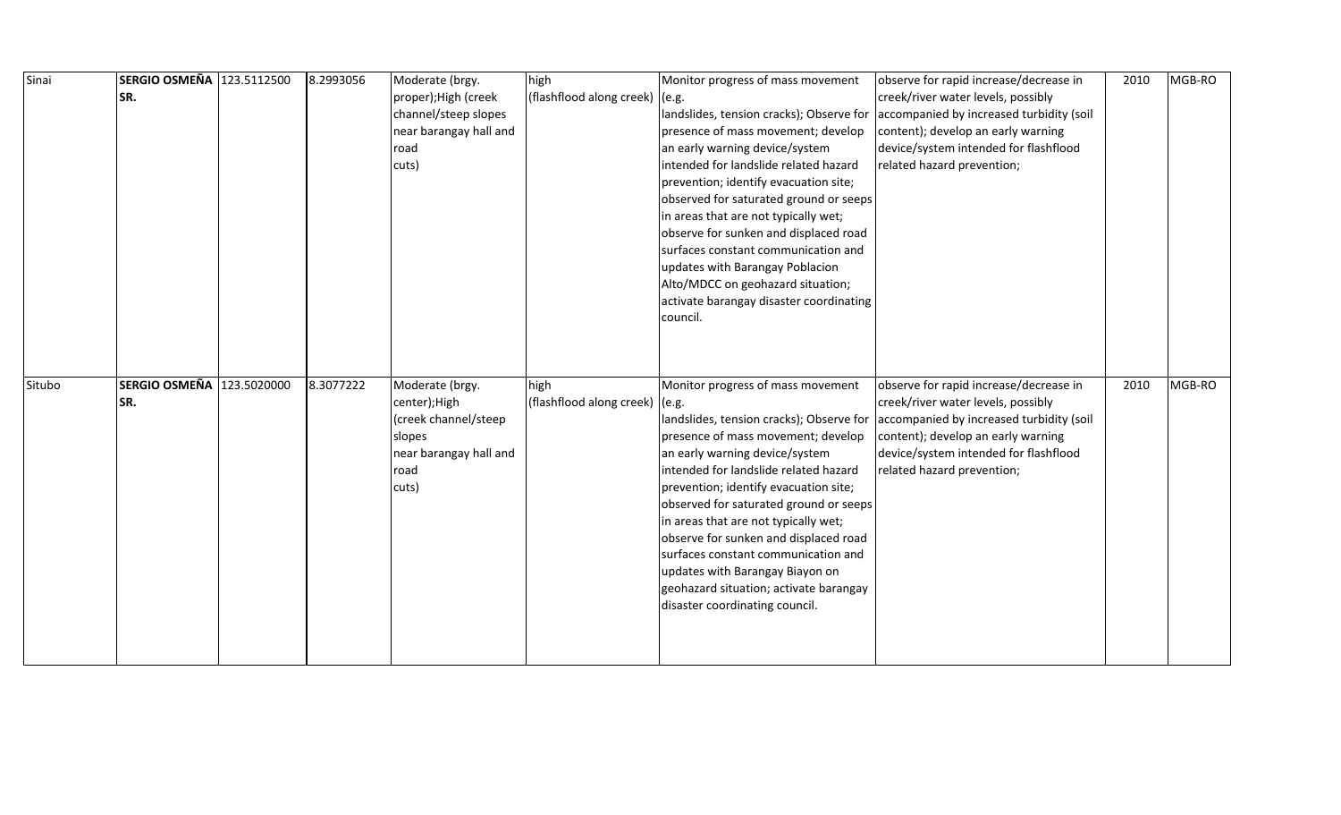| Sinai  | SERGIO OSMEÑA 123.5112500 | 8.2993056 | Moderate (brgy.                  | high                             | Monitor progress of mass movement                                    | observe for rapid increase/decrease in                                      | 2010 | MGB-RO |
|--------|---------------------------|-----------|----------------------------------|----------------------------------|----------------------------------------------------------------------|-----------------------------------------------------------------------------|------|--------|
|        | SR.                       |           | proper); High (creek             | (flashflood along creek)         | (e.g.                                                                | creek/river water levels, possibly                                          |      |        |
|        |                           |           | channel/steep slopes             |                                  | landslides, tension cracks); Observe for                             | accompanied by increased turbidity (soil                                    |      |        |
|        |                           |           | near barangay hall and           |                                  | presence of mass movement; develop                                   | content); develop an early warning                                          |      |        |
|        |                           |           | road                             |                                  | an early warning device/system                                       | device/system intended for flashflood                                       |      |        |
|        |                           |           | cuts)                            |                                  | intended for landslide related hazard                                | related hazard prevention;                                                  |      |        |
|        |                           |           |                                  |                                  | prevention; identify evacuation site;                                |                                                                             |      |        |
|        |                           |           |                                  |                                  | observed for saturated ground or seeps                               |                                                                             |      |        |
|        |                           |           |                                  |                                  | in areas that are not typically wet;                                 |                                                                             |      |        |
|        |                           |           |                                  |                                  | observe for sunken and displaced road                                |                                                                             |      |        |
|        |                           |           |                                  |                                  | surfaces constant communication and                                  |                                                                             |      |        |
|        |                           |           |                                  |                                  | updates with Barangay Poblacion                                      |                                                                             |      |        |
|        |                           |           |                                  |                                  | Alto/MDCC on geohazard situation;                                    |                                                                             |      |        |
|        |                           |           |                                  |                                  | activate barangay disaster coordinating                              |                                                                             |      |        |
|        |                           |           |                                  |                                  | council.                                                             |                                                                             |      |        |
|        |                           |           |                                  |                                  |                                                                      |                                                                             |      |        |
|        |                           |           |                                  |                                  |                                                                      |                                                                             |      |        |
|        |                           |           |                                  |                                  |                                                                      |                                                                             |      |        |
| Situbo | SERGIO OSMEÑA 123.5020000 | 8.3077222 | Moderate (brgy.                  | high                             | Monitor progress of mass movement                                    | observe for rapid increase/decrease in                                      | 2010 | MGB-RO |
|        | SR.                       |           | center);High                     | (flashflood along creek) $(e.g.$ |                                                                      | creek/river water levels, possibly                                          |      |        |
|        |                           |           | (creek channel/steep             |                                  | andslides, tension cracks); Observe for                              | accompanied by increased turbidity (soil                                    |      |        |
|        |                           |           | slopes<br>near barangay hall and |                                  | presence of mass movement; develop<br>an early warning device/system | content); develop an early warning<br>device/system intended for flashflood |      |        |
|        |                           |           | road                             |                                  | intended for landslide related hazard                                | related hazard prevention;                                                  |      |        |
|        |                           |           | cuts)                            |                                  | prevention; identify evacuation site;                                |                                                                             |      |        |
|        |                           |           |                                  |                                  | observed for saturated ground or seeps                               |                                                                             |      |        |
|        |                           |           |                                  |                                  | in areas that are not typically wet;                                 |                                                                             |      |        |
|        |                           |           |                                  |                                  | observe for sunken and displaced road                                |                                                                             |      |        |
|        |                           |           |                                  |                                  | surfaces constant communication and                                  |                                                                             |      |        |
|        |                           |           |                                  |                                  | updates with Barangay Biayon on                                      |                                                                             |      |        |
|        |                           |           |                                  |                                  | geohazard situation; activate barangay                               |                                                                             |      |        |
|        |                           |           |                                  |                                  | disaster coordinating council.                                       |                                                                             |      |        |
|        |                           |           |                                  |                                  |                                                                      |                                                                             |      |        |
|        |                           |           |                                  |                                  |                                                                      |                                                                             |      |        |
|        |                           |           |                                  |                                  |                                                                      |                                                                             |      |        |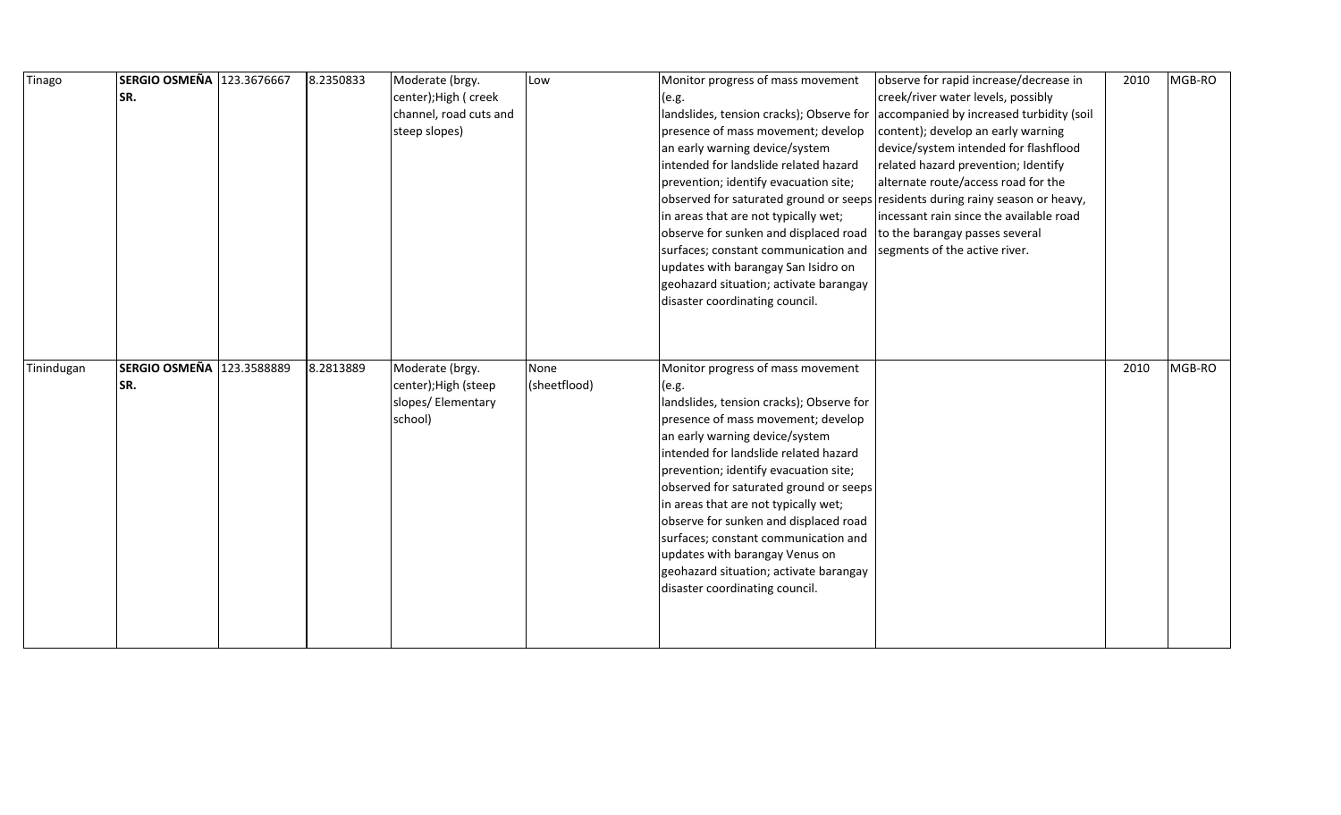| Tinago     | SERGIO OSMEÑA 123.3676667 | 8.2350833 | Moderate (brgy.        | Low          | Monitor progress of mass movement                                              | observe for rapid increase/decrease in   | 2010 | MGB-RO |
|------------|---------------------------|-----------|------------------------|--------------|--------------------------------------------------------------------------------|------------------------------------------|------|--------|
|            | SR.                       |           | center); High ( creek  |              | (e.g.                                                                          | creek/river water levels, possibly       |      |        |
|            |                           |           | channel, road cuts and |              | landslides, tension cracks); Observe for                                       | accompanied by increased turbidity (soil |      |        |
|            |                           |           | steep slopes)          |              | presence of mass movement; develop                                             | content); develop an early warning       |      |        |
|            |                           |           |                        |              | an early warning device/system                                                 | device/system intended for flashflood    |      |        |
|            |                           |           |                        |              | intended for landslide related hazard                                          | related hazard prevention; Identify      |      |        |
|            |                           |           |                        |              | prevention; identify evacuation site;                                          | alternate route/access road for the      |      |        |
|            |                           |           |                        |              | observed for saturated ground or seeps residents during rainy season or heavy, |                                          |      |        |
|            |                           |           |                        |              | in areas that are not typically wet;                                           | incessant rain since the available road  |      |        |
|            |                           |           |                        |              | observe for sunken and displaced road                                          | to the barangay passes several           |      |        |
|            |                           |           |                        |              | surfaces; constant communication and                                           | segments of the active river.            |      |        |
|            |                           |           |                        |              | updates with barangay San Isidro on                                            |                                          |      |        |
|            |                           |           |                        |              | geohazard situation; activate barangay                                         |                                          |      |        |
|            |                           |           |                        |              | disaster coordinating council.                                                 |                                          |      |        |
|            |                           |           |                        |              |                                                                                |                                          |      |        |
|            |                           |           |                        |              |                                                                                |                                          |      |        |
|            |                           |           |                        |              |                                                                                |                                          |      |        |
|            |                           |           |                        |              |                                                                                |                                          |      |        |
| Tinindugan | SERGIO OSMEÑA 123.3588889 | 8.2813889 | Moderate (brgy.        | None         | Monitor progress of mass movement                                              |                                          | 2010 | MGB-RO |
|            | SR.                       |           | center); High (steep   | (sheetflood) | (e.g.                                                                          |                                          |      |        |
|            |                           |           | slopes/ Elementary     |              | landslides, tension cracks); Observe for                                       |                                          |      |        |
|            |                           |           | school)                |              | presence of mass movement; develop                                             |                                          |      |        |
|            |                           |           |                        |              | an early warning device/system                                                 |                                          |      |        |
|            |                           |           |                        |              | intended for landslide related hazard                                          |                                          |      |        |
|            |                           |           |                        |              | prevention; identify evacuation site;                                          |                                          |      |        |
|            |                           |           |                        |              | observed for saturated ground or seeps                                         |                                          |      |        |
|            |                           |           |                        |              | in areas that are not typically wet;                                           |                                          |      |        |
|            |                           |           |                        |              | observe for sunken and displaced road                                          |                                          |      |        |
|            |                           |           |                        |              | surfaces; constant communication and                                           |                                          |      |        |
|            |                           |           |                        |              | updates with barangay Venus on                                                 |                                          |      |        |
|            |                           |           |                        |              | geohazard situation; activate barangay                                         |                                          |      |        |
|            |                           |           |                        |              | disaster coordinating council.                                                 |                                          |      |        |
|            |                           |           |                        |              |                                                                                |                                          |      |        |
|            |                           |           |                        |              |                                                                                |                                          |      |        |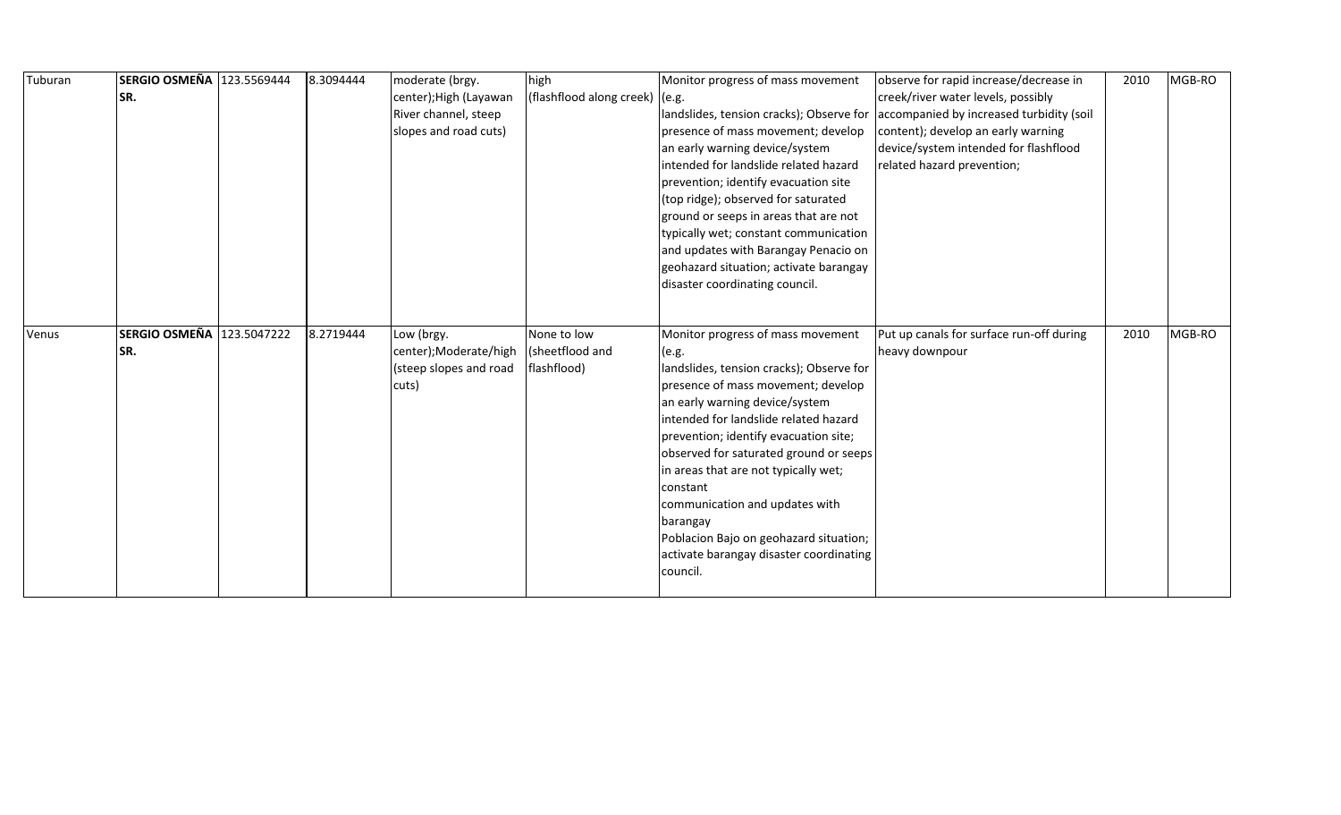| Tuburan | SERGIO OSMEÑA 123.5569444 | 8.3094444 | moderate (brgy.        | high                           | Monitor progress of mass movement        | observe for rapid increase/decrease in   | 2010 | MGB-RO |
|---------|---------------------------|-----------|------------------------|--------------------------------|------------------------------------------|------------------------------------------|------|--------|
|         | SR.                       |           | center); High (Layawan | (flashflood along creek) (e.g. |                                          | creek/river water levels, possibly       |      |        |
|         |                           |           | River channel, steep   |                                | landslides, tension cracks); Observe for | accompanied by increased turbidity (soil |      |        |
|         |                           |           | slopes and road cuts)  |                                | presence of mass movement; develop       | content); develop an early warning       |      |        |
|         |                           |           |                        |                                | an early warning device/system           | device/system intended for flashflood    |      |        |
|         |                           |           |                        |                                | intended for landslide related hazard    | related hazard prevention;               |      |        |
|         |                           |           |                        |                                | prevention; identify evacuation site     |                                          |      |        |
|         |                           |           |                        |                                | (top ridge); observed for saturated      |                                          |      |        |
|         |                           |           |                        |                                | ground or seeps in areas that are not    |                                          |      |        |
|         |                           |           |                        |                                | typically wet; constant communication    |                                          |      |        |
|         |                           |           |                        |                                | and updates with Barangay Penacio on     |                                          |      |        |
|         |                           |           |                        |                                | geohazard situation; activate barangay   |                                          |      |        |
|         |                           |           |                        |                                | disaster coordinating council.           |                                          |      |        |
|         |                           |           |                        |                                |                                          |                                          |      |        |
|         |                           |           |                        |                                |                                          |                                          |      |        |
| Venus   | SERGIO OSMEÑA 123.5047222 | 8.2719444 | Low (brgy.             | None to low                    | Monitor progress of mass movement        | Put up canals for surface run-off during | 2010 | MGB-RO |
|         | SR.                       |           | center);Moderate/high  | (sheetflood and                | (e.g.                                    | heavy downpour                           |      |        |
|         |                           |           | (steep slopes and road | flashflood)                    | landslides, tension cracks); Observe for |                                          |      |        |
|         |                           |           | cuts)                  |                                | presence of mass movement; develop       |                                          |      |        |
|         |                           |           |                        |                                | an early warning device/system           |                                          |      |        |
|         |                           |           |                        |                                | intended for landslide related hazard    |                                          |      |        |
|         |                           |           |                        |                                | prevention; identify evacuation site;    |                                          |      |        |
|         |                           |           |                        |                                | observed for saturated ground or seeps   |                                          |      |        |
|         |                           |           |                        |                                | in areas that are not typically wet;     |                                          |      |        |
|         |                           |           |                        |                                | constant                                 |                                          |      |        |
|         |                           |           |                        |                                | communication and updates with           |                                          |      |        |
|         |                           |           |                        |                                | barangay                                 |                                          |      |        |
|         |                           |           |                        |                                | Poblacion Bajo on geohazard situation;   |                                          |      |        |
|         |                           |           |                        |                                | activate barangay disaster coordinating  |                                          |      |        |
|         |                           |           |                        |                                | council.                                 |                                          |      |        |
|         |                           |           |                        |                                |                                          |                                          |      |        |